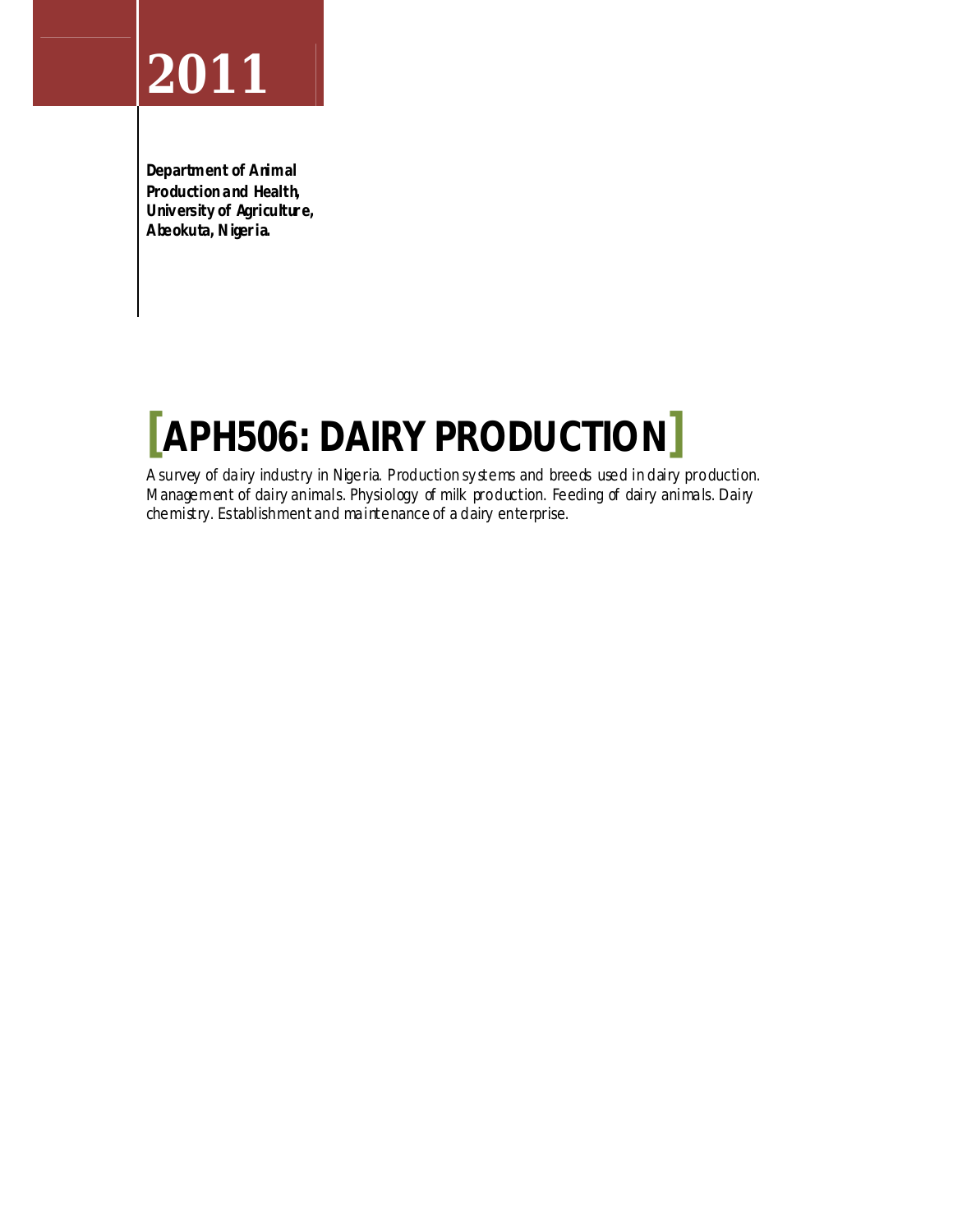**Department of Animal Production and Health, University of Agricultur e, Abeokuta, Niger ia.**

# **[APH506: DAIRY PRODUCTION]**

A survey of dairy industry in Nigeria. Production sy stems and breeds used in dairy production. Management of dairy animals. Physiology of milk production. Feeding of dairy animals. Dairy chemistry. Establishment and maintenance of a dairy enterprise.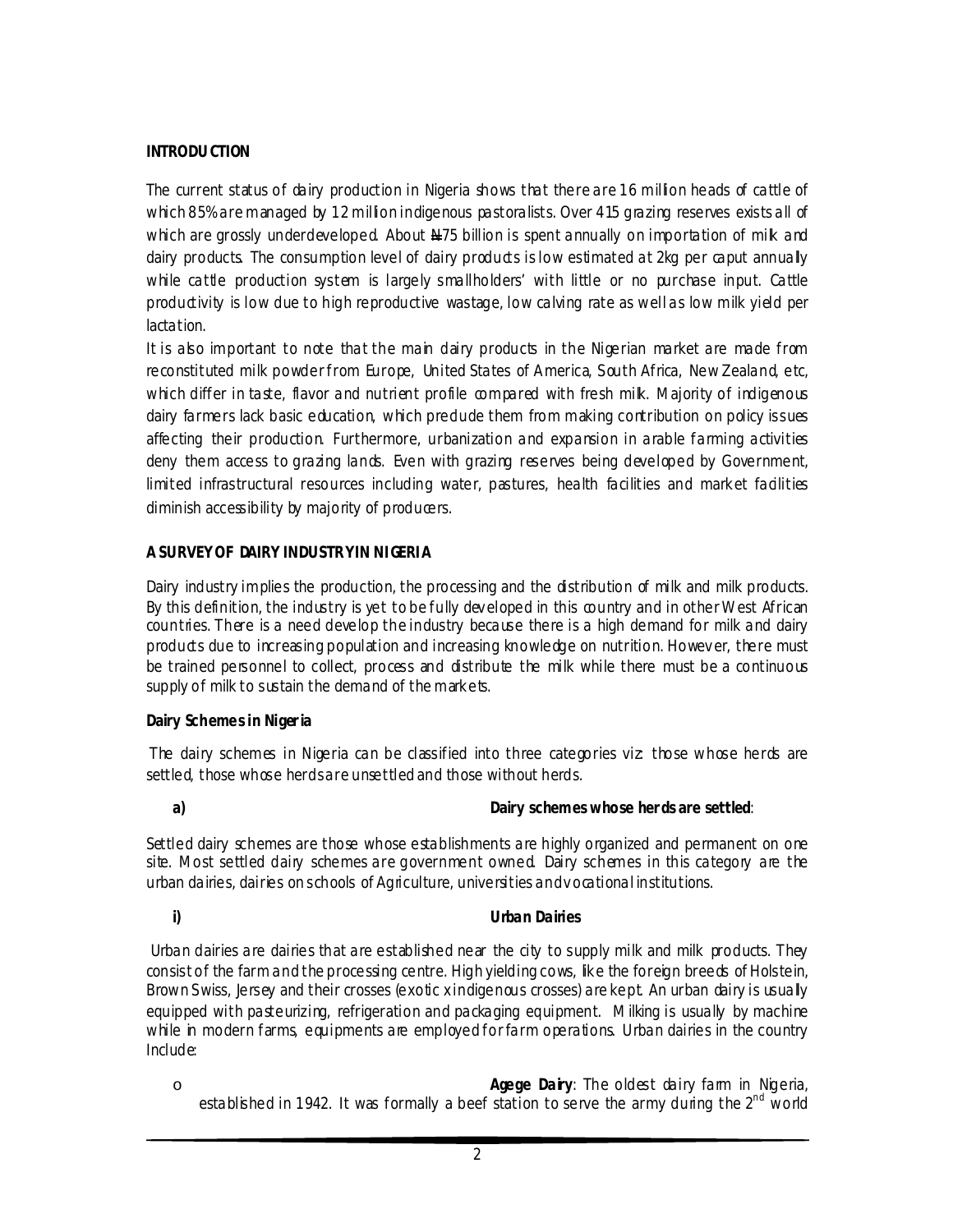#### **INTRODU CTION**

The current status of dairy production in Nigeria shows that there are 16 million heads of cattle of which 85% are managed by 12 million indigenous pastoralists. Over 415 grazing reserves exists all of which are grossly underdeveloped. About N75 billion is spent annually on importation of milk and dairy products. The consumption level of dairy products is low estimated at 2kg per caput annually while cattle production system is largely smallholders' with little or no purchase input. Cattle productivity is low due to high reproductive wastage, low calving rate as well as low milk yield per lactation.

It is also important to note that the main dairy products in the Nigerian market are made from reconstituted milk powder from Europe, United States of America, South Africa, New Zealand, etc, which differ in taste, flavor and nutrient profile compared with fresh mik. Majority of indigenous dairy farmers lack basic education, which predude them from making contribution on policy issues affecting their production. Furthermore, urbanization and expansion in arable farming activities deny them access to grazing lands. Even with grazing reserves being developed by Government, limited infrastructural resources including water, pastures, health facilities and market fadilities diminish accessibility by majority of producers.

#### **A SURVEY OF DAIRY INDUSTRY IN NI GERI A**

Dairy industry implies the production, the processing and the distribution of milk and milk products. By this definition, the industry is yet to be fully dev eloped in this country and in other West African countries. There is a need develop the industry because there is a high demand for milk and dairy products due to increasing population and increasing knowledge on nutrition. Howev er, there must be trained personnel to collect, process and distribute the milk while there must be a continuous supply of milk to sustain the demand of the markets.

#### **Dairy Schemes in Niger ia**

The dairy schemes in Nigeria can be classified into three categories viz: those whose herds are settled, those whose herds are unsettled and those without herds.

#### **a) Dairy schemes whose her ds are settled**:

Settled dairy schemes are those whose establishments are highly organized and permanent on one site. Most settled dairy schemes are government owned Dairy schemes in this category are the urban dairies, dairies on schools of Agriculture, universities and v ocational institutions.

#### **i) Urban Dairies**

Urban dairies are dairies that are established near the city to supply milk and milk products. They consist of the farm and the processing centre. High yielding cows, like the foreign breeds of Holstein, Brown Swiss, Jersey and their crosses (exotic x indigenous crosses) are kept. An urban dairy is usually equipped with pasteurizing, refrigeration and packaging equipment. Milking is usually by machine while in modern farms, equipments are employed for farm operations. Urban dairies in the country Include:

o **Agege Dairy**: The oldest dairy farm in Nigeria, established in 1942. It was formally a beef station to serve the army during the  $2^{nd}$  world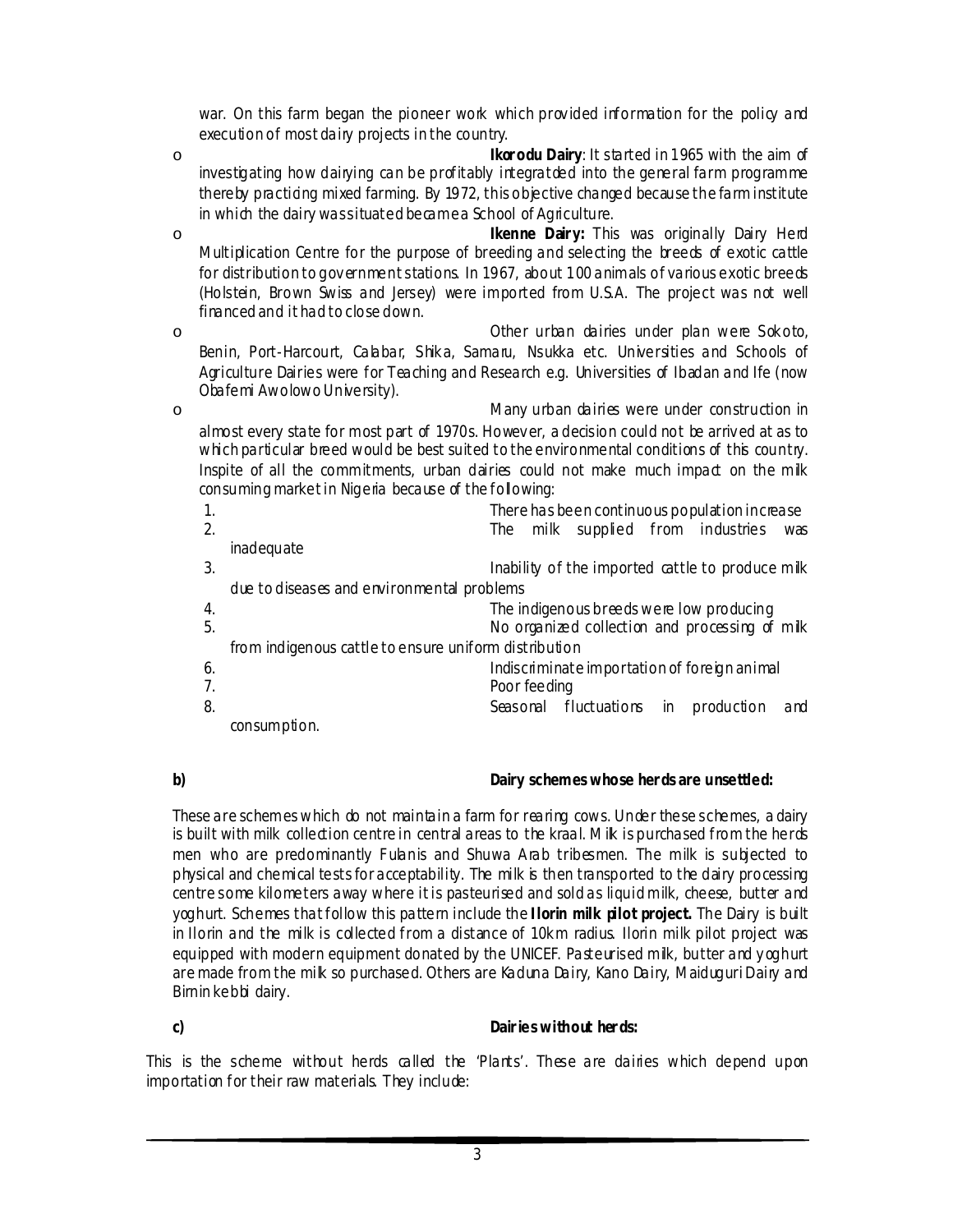war. On this farm began the pioneer work which prov ided information for the policy and execution of most dairy projects in the country.

o **Ikor odu Dairy**: It started in 1965 with the aim of investigating how dairying can be profitably integratded into the general farm programme thereby practicing mixed farming. By 1972, this objective changed because the farm institute in which the dairy was situated became a School of Agriculture.

o **Ikenne Dair y:** This was originally Dairy Herd Multiplication Centre for the purpose of breeding and selecting the breeds of exotic cattle for distribution to gov ernment stations. In 1967, about 100 animals of various exotic breeds (Holstein, Brown Swiss and Jersey) were imported from U.S.A. The project was not well financed and it had to close down.

o Other urban dairies under plan were S ok oto, Benin, Port-Harcourt, Calabar, Shika, Samaru, Nsukka etc. Universities and Schools of Agriculture Dairies were for Teaching and Research e.g. Universities of Ibadan and Ife (now Obafemi Awolowo University).

o Many urban dairies were under construction in almost every state for most part of 1970s. Howev er, a decision could not be arriv ed at as to which particular breed would be best suited to the environmental conditions of this country. Inspite of all the commitments, urban dairies could not make much impact on the milk consuming market in Nigeria because of the following:

| 1. | There has been continuous population increase         |  |  |
|----|-------------------------------------------------------|--|--|
| 2. | The milk supplied from industries<br>was              |  |  |
|    | inadequate                                            |  |  |
| 3. | Inability of the imported cattle to produce mik       |  |  |
|    | due to diseases and environmental problems            |  |  |
| 4. | The indigenous breeds were low producing              |  |  |
| 5. | No organized collection and processing of milk        |  |  |
|    | from indigenous cattle to ensure uniform distribution |  |  |
| 6. | Indiscriminate importation of foreign animal          |  |  |
| 7. | Poor feeding                                          |  |  |
| 8. | Seasonal fluctuations in<br>production<br>and         |  |  |
|    | consumption.                                          |  |  |

#### **b) Dairy schemes whose her ds are unsettled:**

These are schemes which do not maintain a farm for rearing cows. Under these schemes, a dairy is built with milk collection centre in central areas to the kraal. Mik is purchased from the herds men who are predominantly Fulanis and Shuwa Arab tribesmen. The milk is subjected to physical and chemical tests for acceptability. The milk is then transported to the dairy processing centre some kilometers away where it is pasteurised and sold as liquid milk, cheese, butter and yoghurt. Schemes thatfollow this pattern include the **I lorin milk pilot project.** The Dairy is built in Ilorin and the milk is collected from a distance of 10km radius. Ilorin milk pilot project was equipped with modern equipment donated by the UNICEF. Pasteurised milk, butter and y og hurt are made from the milk so purchased. Others are Kaduna Dairy, Kano Dairy, Maiduguri Dairy and Birnin kebbi dairy.

#### **c) Dair ies without her ds:**

This is the scheme without herds called the 'Plants'. These are dairies which depend upon importation for their raw materials. They include: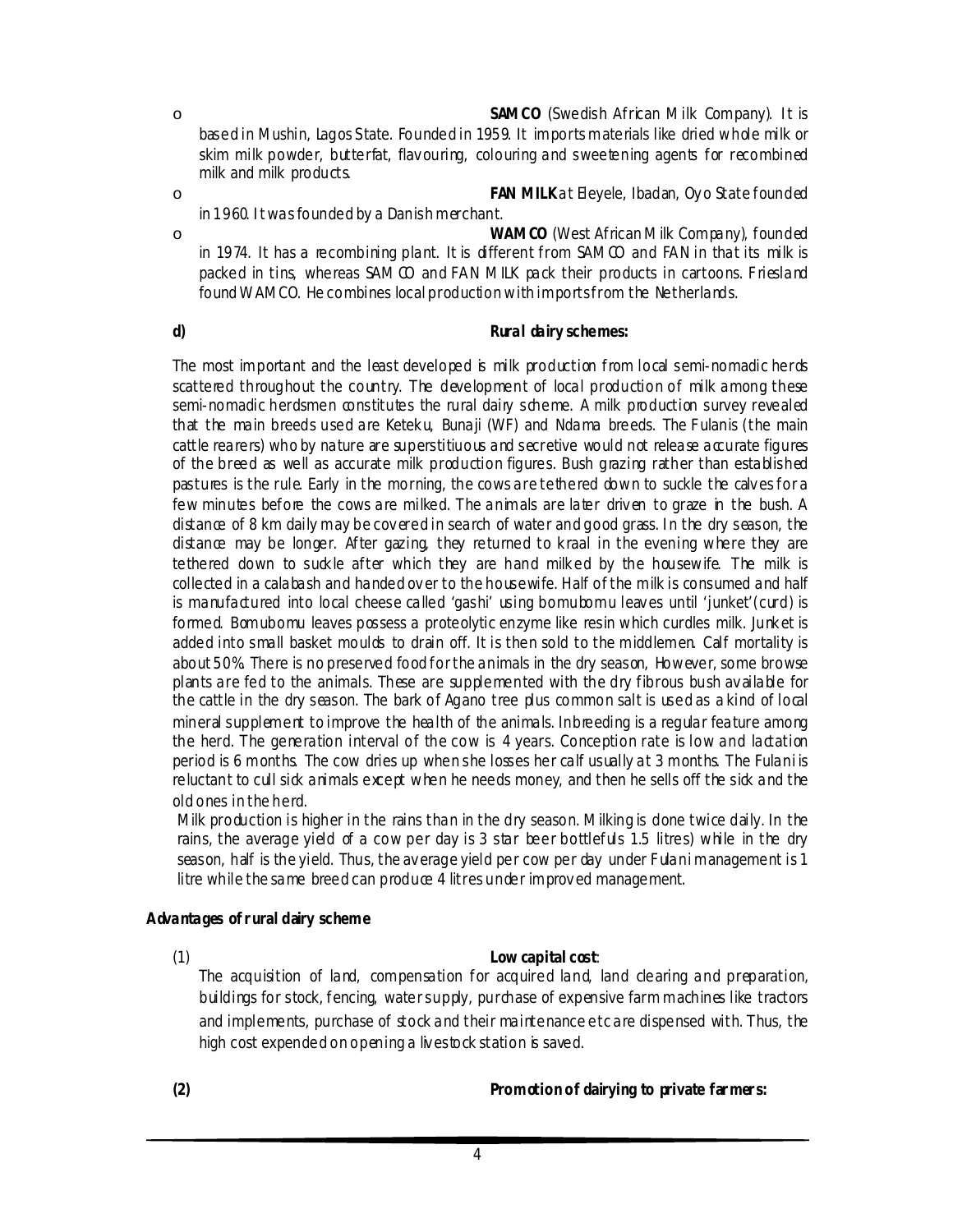o **SAMCO** (Swedish African Milk Company). I t is based in Mushin, Lagos S tate. Founded in 1959. It imports materials like dried whole milk or skim milk powder, butterfat, flav ouring, colouring and sweetening agents for recombined milk and milk products.

o **FAN MILK**at Eleyele, Ibadan, Oy o State founded in 1960. I t was founded by a Danish merchant.

o **WAMCO** (West African Milk Company), founded in 1974. It has a recombining plant. It is different from  $SAMO$  and FAN in that its milk is packed in tins, whereas SAM CO and FAN MILK pack their products in cartoons. Friesland found WAMCO. He combines local production with imports from the Netherlands.

**d) Rural dairy schemes:**

The most important and the least developed is milk production from local semi-nomadic herds scattered throughout the country. The development of local production of milk among these semi-nomadic herdsmen constitutes the rural dairy scheme. A milk production survey revealed that the main breeds used are Ketek u, Bunaji (WF) and Ndama breeds. The F ulanis (the main cattle rearers) who by nature are superstitiuous and secretive would not release accurate figures of the breed as well as accurate milk production figures. Bush grazing rather than established pastures is the rule. Early in the morning, the cows are tethered down to suckle the calv es for a few minutes before the cows are milked. The animals are later driven to graze in the bush. A distance of 8 km daily may be cov ered in search of water and good grass. I n the dry season, the distance may be longer. After gazing, they returned to kraal in the evening where they are tethered down to suckle after which they are hand milked by the housewife. The milk is collected in a calabash and handed ov er to the housewife. Half of the milk is consumed and half is manufactured into local cheese called 'gashi' using bomubomu leaves until 'junket'(curd) is formed. Bomubomu leaves possess a proteolytic enzyme like resin which curdles milk. Junket is added into small basket moulds to drain off. It is then sold to the middlemen. Calf mortality is about 50%. There is no preserved food for the animals in the dry season, However, some browse plants are fed to the animals. These are supplemented with the dry fibrous bush av ailable for the cattle in the dry season. The bark of Agano tree plus common salt is used as a kind of local mineral supplement to improve the health of the animals. Inbreeding is a regular feature among the herd. The generation interval of the cow is 4 years. Conception rate is low and lactation period is 6 months. The cow dries up when she losses her calf usually at 3 months. The Fulani is reluctant to cull sick animals except when he needs money, and then he sells off the sick and the old ones in the herd.

Milk production is higher in the rains than in the dry season. Milking is done twice daily. In the rains, the average yield of a cow per day is 3 star beer bottlefuls 1.5 litres) while in the dry season, half is the yield. Thus, the average yield per cow per day under Fulani management is 1 litre while the same breed can produce 4 litres under improved management.

#### **Advantages of r ural dairy scheme**

#### (1) **Low capital cost**:

The acquisition of land, compensation for acquired land, land clearing and preparation, buildings for stock, fencing, water supply, purchase of expensive farm machines like tractors and implements, purchase of stock and their maintenance etc are dispensed with. Thus, the high cost expended on opening a lives tock station is saved.

**(2) Promotion of dairying to private far mer s:**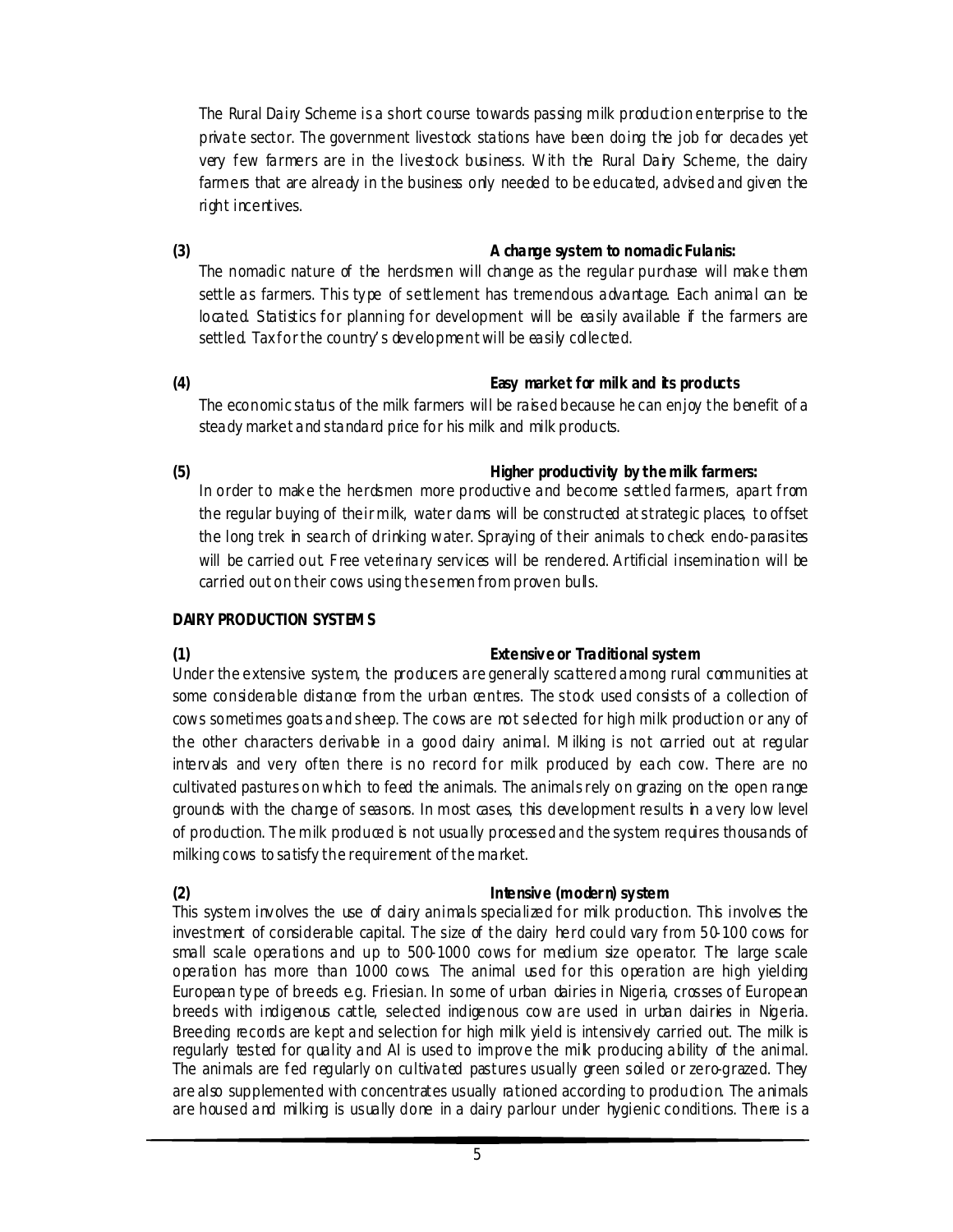The Rural Dairy Scheme is a short course towards passing milk production enterprise to the private sector. The government livestock stations have been doing the job for decades yet very few farmers are in the livestock business. With the Rural Dairy Scheme, the dairy farmers that are already in the business only needed to be educated, advised and given the right incentives.

### **(3) A change system to nomadic Fulanis:**

The nomadic nature of the herdsmen will change as the regular purchase will mak e them settle as farmers. This type of settlement has tremendous advantage. Each animal can be located. Statistics for planning for development will be easily available if the farmers are settled. Tax for the country' s dev elopment will be easily collected.

# **(4) Easy market for milk and its products**

The economic status of the milk farmers will be raised because he can enjoy the benefit of a steady market and standard price for his milk and milk products.

#### **(5) Higher productivity by the milk farmers:**

In order to make the herdsmen more productive and become settled farmers, apart from the regular buying of their milk, water dams will be constructed at strategic places, to offset the long trek in search of drinking water. Spraying of their animals to check endo-parasites will be carried out. Free veterinary services will be rendered. Artificial insemination will be carried out on their cows using the semen from proven bulls.

#### **DAIRY PRODUCTION SYSTEMS**

# **(1) Extensive or Traditional system**

Under the extensive system, the producers are generally scattered among rural communities at some considerable distance from the urban centres. The stock used consists of a collection of cows sometimes goats and sheep. The cows are not selected for high milk production or any of the other characters derivable in a good dairy animal. Milking is not carried out at regular interv als and very often there is no record for milk produced by each cow. There are no cultivated pastures on which to feed the animals. The animals rely on grazing on the open range grounds with the change of seasons. In most cases, this development results in a very low level of production. The milk produced is not usually processed and the system requires thousands of milking cows to satisfy the requirement of the market.

# **(2) Intensive (moder n) system**

This system involves the use of dairy animals specialized for milk production. This involves the investment of considerable capital. The size of the dairy herd could vary from 50-100 cows for small scale operations and up to 500-1000 cows for medium size operator. The large scale operation has more than 1000 cows. The animal used for this operation are high yielding European type of breeds e.g. Friesian. In some of urban dairies in Nigeria, crosses of European breeds with indigenous cattle, selected indigenous cow are used in urban dairies in Nigeria. Breeding records are kept and selection for high milk yield is intensiv ely carried out. The milk is regularly tested for quality and AI is used to improve the milk producing ability of the animal. The animals are fed regularly on cultivated pastures usually green soiled or zero-grazed. They are also supplemented with concentrates usually rationed according to production. The animals are housed and milking is usually done in a dairy parlour under hygienic conditions. There is a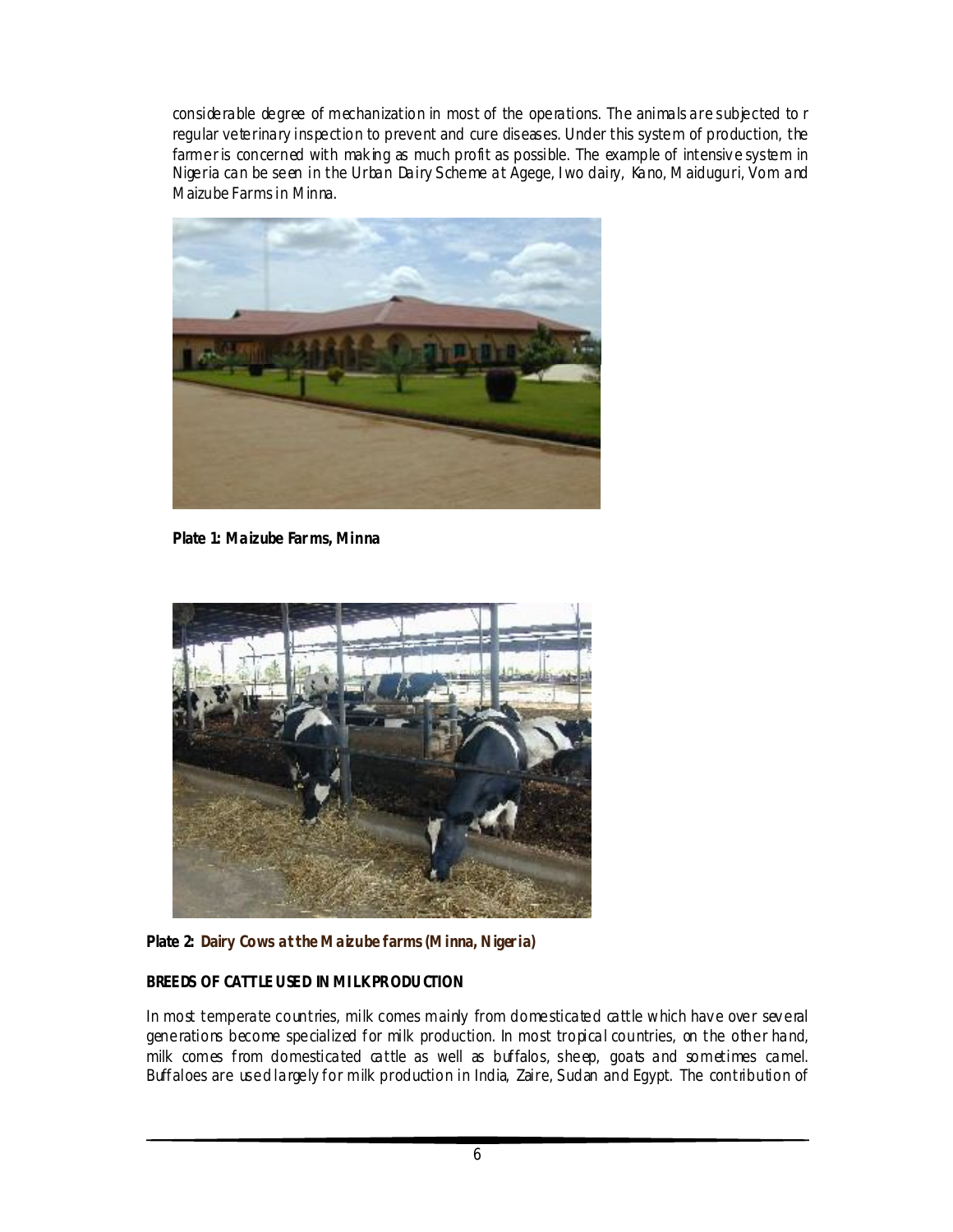considerable degree of mechanization in most of the operations. The animals are subjected to r regular veterinary inspection to prevent and cure diseases. Under this system of production, the farmer is concerned with making as much profit as possible. The example of intensive system in Nigeria can be seen in the Urban Dairy S cheme at Agege, I wo dairy, Kano, Maiduguri, Vom and Maizube Farms in Minna.



**Plate 1: Maizube Far ms, Minna**



Plate 2: Dairy Cows at the Maizube farms (Minna, Nigeria)

# **BREEDS OF CATTLE USED IN MI LK PRODU CTION**

In most temperate countries, milk comes mainly from domesticated cattle which have over several generations become specialized for milk production. In most tropical countries, on the other hand, milk comes from domesticated cattle as well as buffalos, sheep, goats and sometimes camel. Buffaloes are used largely for milk production in India, Zaire, S udan and Egypt. The contribution of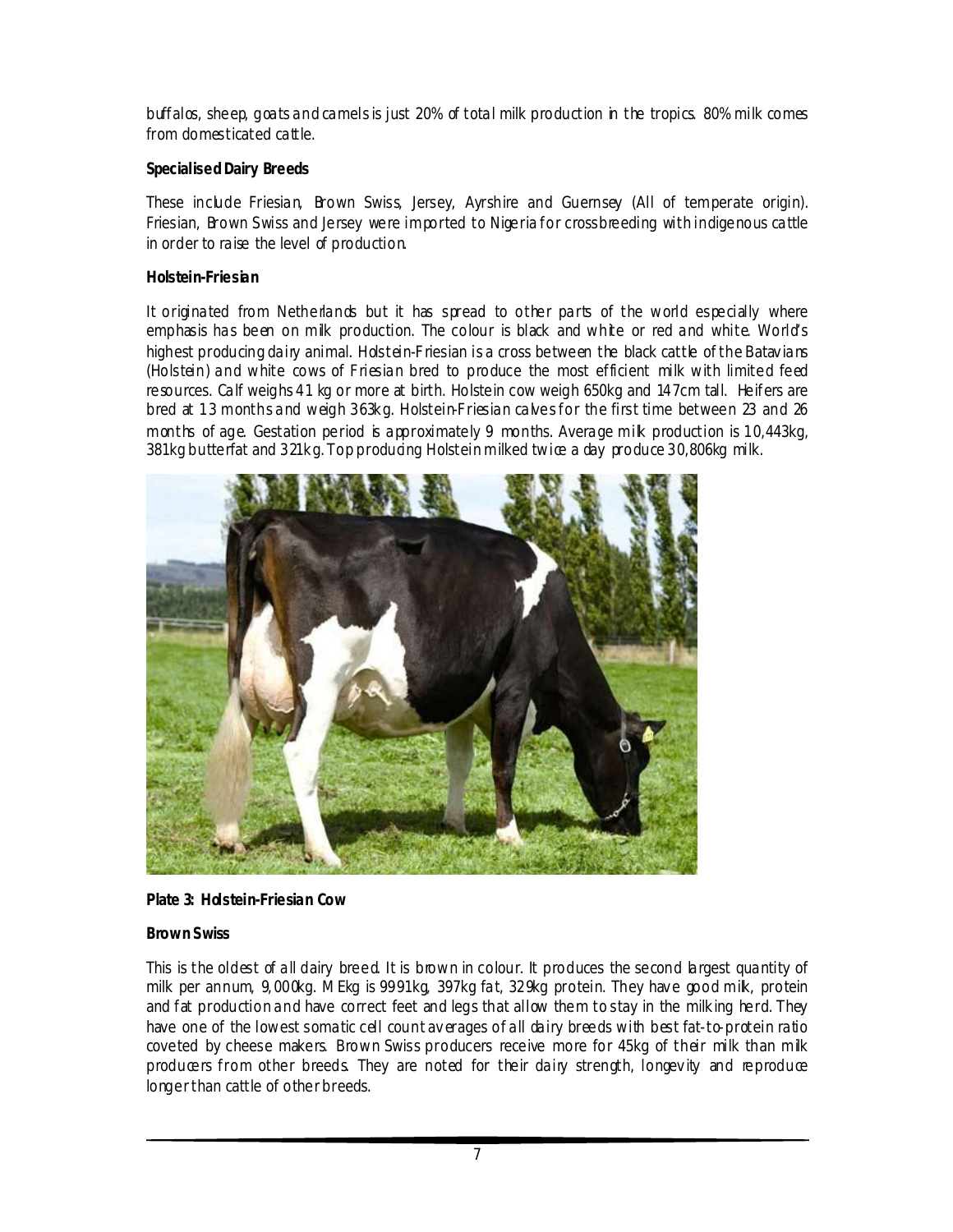buffalos, sheep, goats and camels is just 20% of total milk production in the tropics. 80% milk comes from domesticated cattle.

#### **Specialised Dairy Breeds**

These include Friesian, Brown Swiss, Jersey, Ayrshire and Guernsey (All of temperate origin). Friesian, Brown Swiss and Jersey were imported to Nigeria for crossbreeding with indigenous cattle in order to raise the level of production.

#### **Holstein-Friesian**

It originated from Netherlands but it has spread to other parts of the world especially where emphasis has been on milk production. The colour is black and white or red and white. World's highest producing dairy animal. Holstein-Friesian is a cross between the black cattle of the Batavians (Holstein) and white cows of F riesian bred to produce the most efficient milk with limited feed resources. Calf weighs 41 kg or more at birth. Holstein cow weigh 650kg and 147cm tall. Heifers are bred at 13 months and weigh 363kg. Holstein-Friesian calves for the first time between 23 and 26 months of age. Gestation period is approximately 9 months. Average milk production is 10,443kg, 381kg butterfat and 321kg. Top producing Holstein milked twice a day produce 30,806kg milk.



#### **Plate 3: Holstein-Friesian Cow**

#### **Brown Swiss**

This is the oldest of all dairy breed. It is brown in colour. It produces the second largest quantity of milk per annum, 9, 000kg. MEkg is 9991kg, 397kg fat, 329kg protein. They hav e good milk, protein and fat production and have correct feet and legs that allow them to stay in the milk ing herd. They have one of the lowest somatic cell count averages of all dairy breeds with best fat-to-protein ratio coveted by cheese makers. Brown Swiss producers receive more for 45kg of their milk than milk producers from other breeds. They are noted for their dairy strength, longevity and reproduce longer than cattle of other breeds.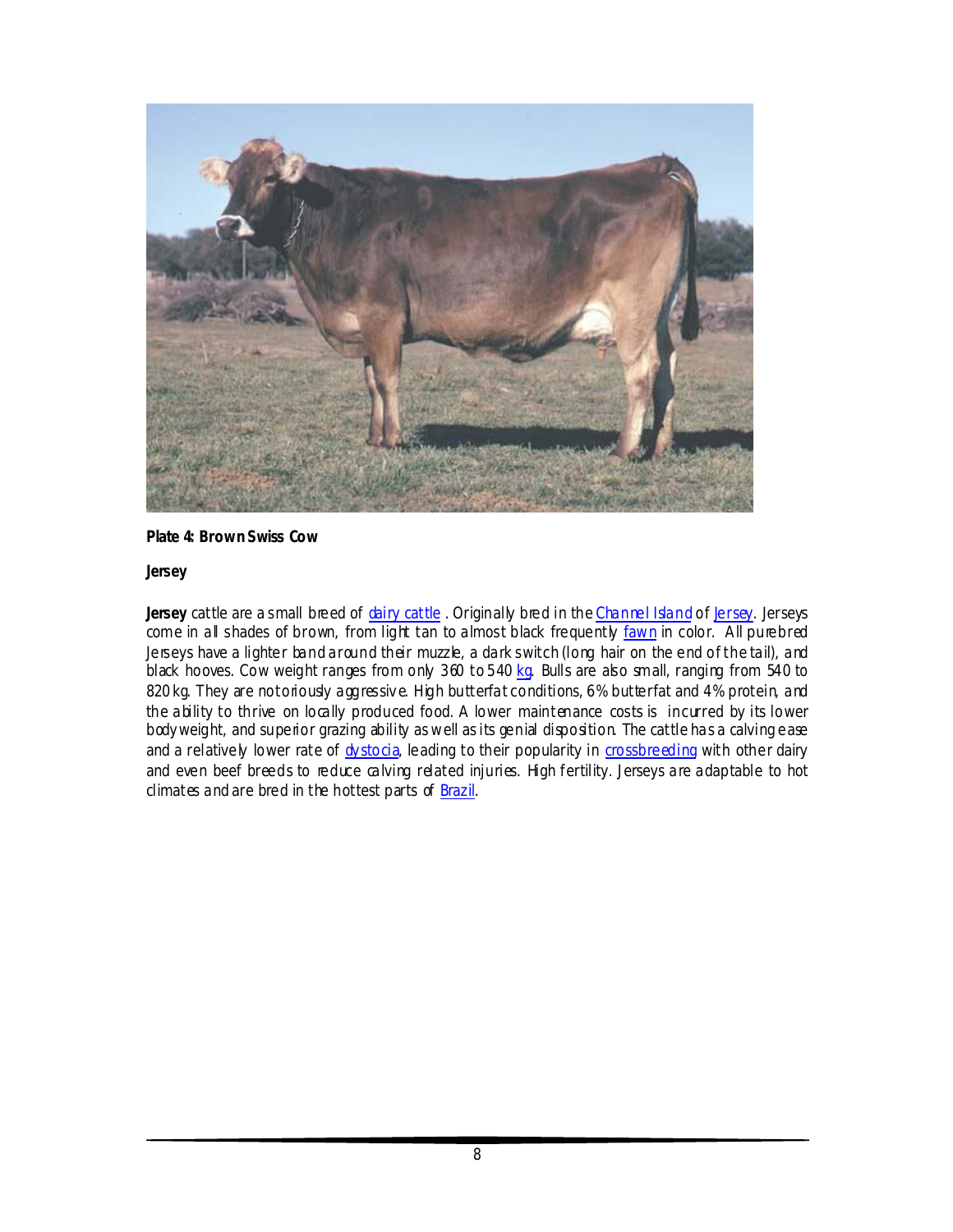

#### **Plate 4: Brown Swiss Cow**

#### **Jersey**

Jersey cattle are a small breed of **chairy cattle**. Originally bred in the Channel Island of bersey. Jerseys come in all shades of brown, from light tan to almost black frequently fawn in color. All purebred Jerseys have a lighter band around their muzzle, a dark switch (long hair on the end of the tail), and black hooves. Cow weight ranges from only 360 to 540 kg. Bulls are also small, ranging from 540 to 820 kg. They are notoriously aggressive. High butterfat conditions, 6% butterfat and 4% protein, and the ability to thrive on locally produced food. A lower maintenance costs is incurred by its lower body weight, and superior grazing ability as well as its genial disposition. The cattle has a calving ease and a relatively lower rate of dystocia, leading to their popularity in crossbreeding with other dairy and even beef breeds to reduce calving related injuries. High fertility. Jerseys are adaptable to hot climates and are bred in the hottest parts of Brazil.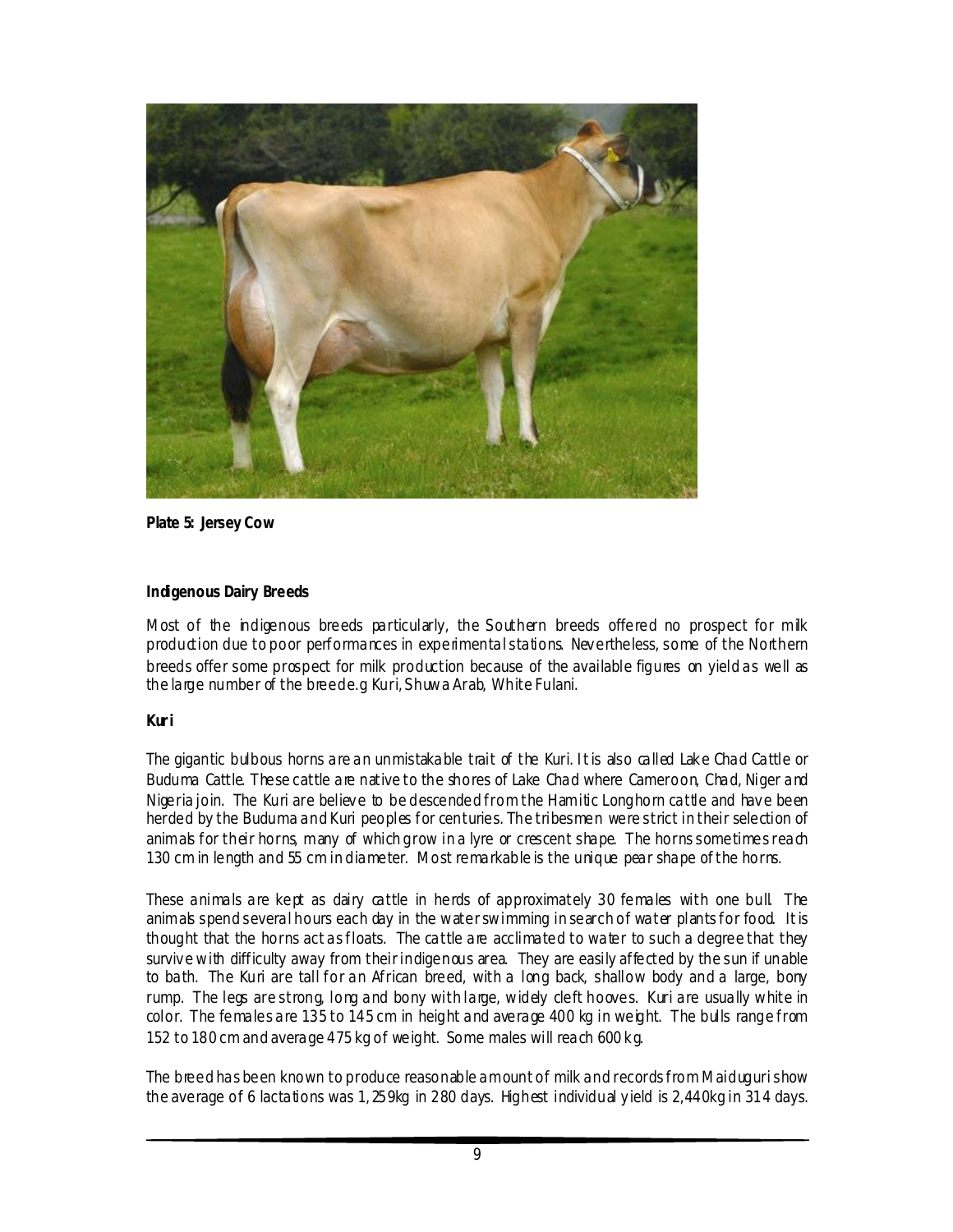

**Plate 5: Jersey Cow**

#### **Indigenous Dairy Breeds**

Most of the indigenous breeds particularly, the Southern breeds offered no prospect for milk production due to poor performances in experimental stations. Nev ertheless, some of the Northern breeds offer some prospect for milk production because of the available figures on yield as well as the large number of the breede.g Kuri, Shuwa Arab, White Fulani.

# **Kur i**

The gigantic bulbous horns are an unmistakable trait of the Kuri. I t is also called Lak e Chad Cattle or Buduma Cattle. These cattle are native to the shores of Lake Chad where Cameroon, Chad, Niger and Nigeria join. The Kuri are believe to be descended from the Hamitic Longhorn cattle and have been herded by the Buduma and Kuri peoples for centuries. The tribesmen were strict in their selection of animals for their horns, many of which grow in a lyre or crescent shape. The horns some times reach 130 cm in length and 55 cm in diameter. Most remarkable is the unique pear shape of the horns.

These animals are kept as dairy cattle in herds of approximately 30 females with one bull. The animals spend several hours each day in the water swimming in search of water plants for food. It is thought that the horns act as floats. The cattle are acclimated to water to such a degree that they survive with difficulty away from their indigenous area. They are easily affected by the sun if unable to bath. The Kuri are tall for an African breed, with a long back, shallow body and a large, bony rump. The legs are strong, long and bony with large, widely cleft hooves. Kuri are usually white in color. The females are 135 to 145 cm in height and average 400 kg in weight. The bulls range from 152 to 180 cm and average 475 kg of weight. Some males will reach 600 k g.

The breed has been known to produce reasonable amount of milk and records from Maiduguri show the average of 6 lactations was 1, 259kg in 280 days. Highest individual y ield is 2,440kg in 314 days.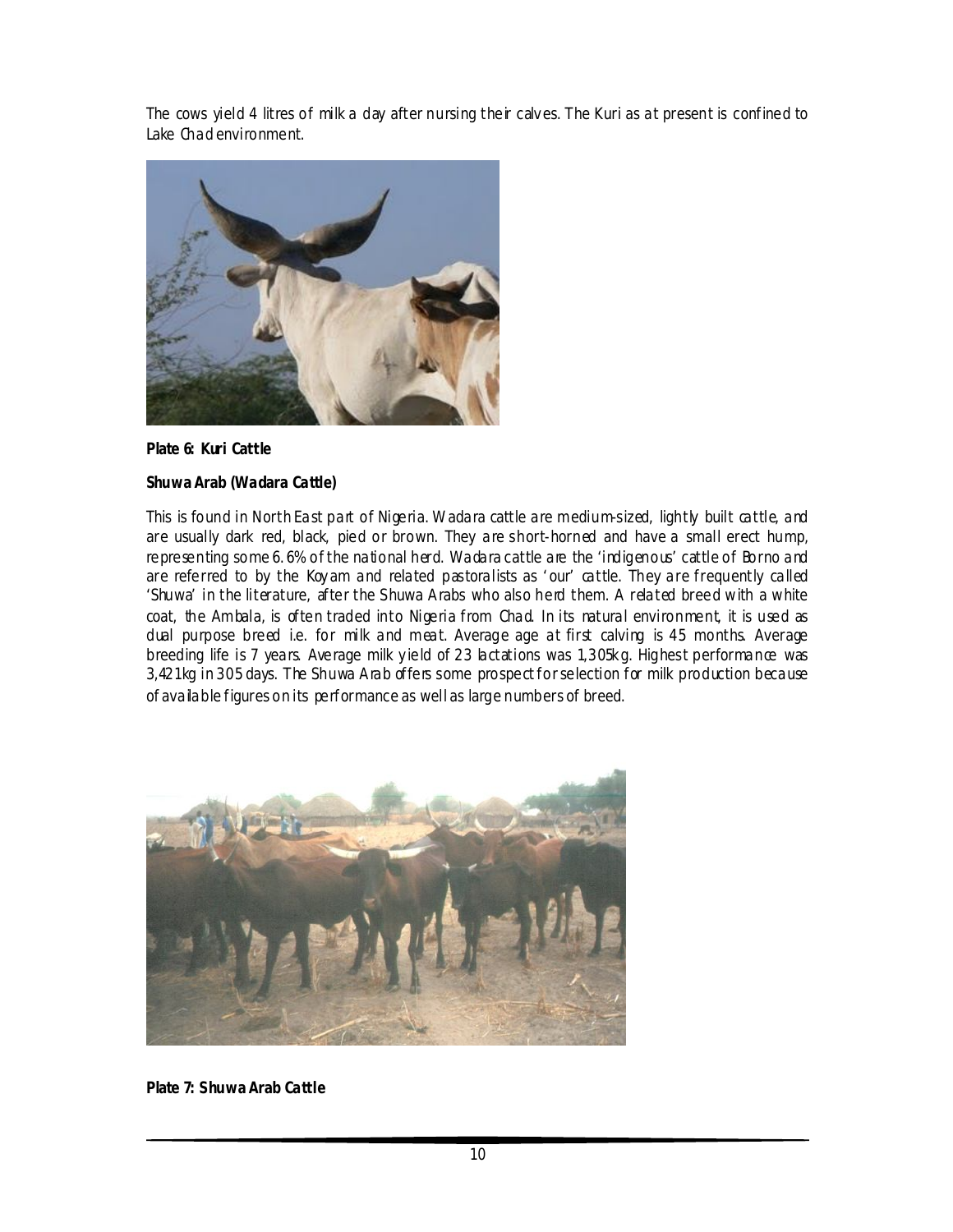The cows yield 4 litres of milk a day after nursing their calv es. The Kuri as at present is confined to Lake Chad environment.



**Plate 6: Kuri Cattle**

#### **Shuwa Arab (Wadara Cattle)**

This is found in North East part of Nigeria. Wadara cattle are medium-sized, lightly built cattle, and are usually dark red, black, pied or brown. They are short-horned and have a small erect hump, representing some 6.6% of the national herd. Wadara cattle are the 'indigenous' cattle of Borno and are referred to by the Koyam and related pastoralists as 'our' cattle. They are frequently called 'Shuwa' in the literature, after the Shuwa Arabs who also herd them. A related breed with a white coat, the Ambala, is often traded into Nigeria from Chad. In its natural environment, it is used as dual purpose breed i.e. for milk and meat. Average age at first calving is 45 months. Average breeding life is 7 years. Average milk yield of 23 lactations was 1,305kg. Highest performance was 3,421kg in 305 days. The Shuwa Arab offers some prospect for selection for milk production because of available figures on its performance as well as large numbers of breed.



**Plate 7: Shuwa Arab Cattle**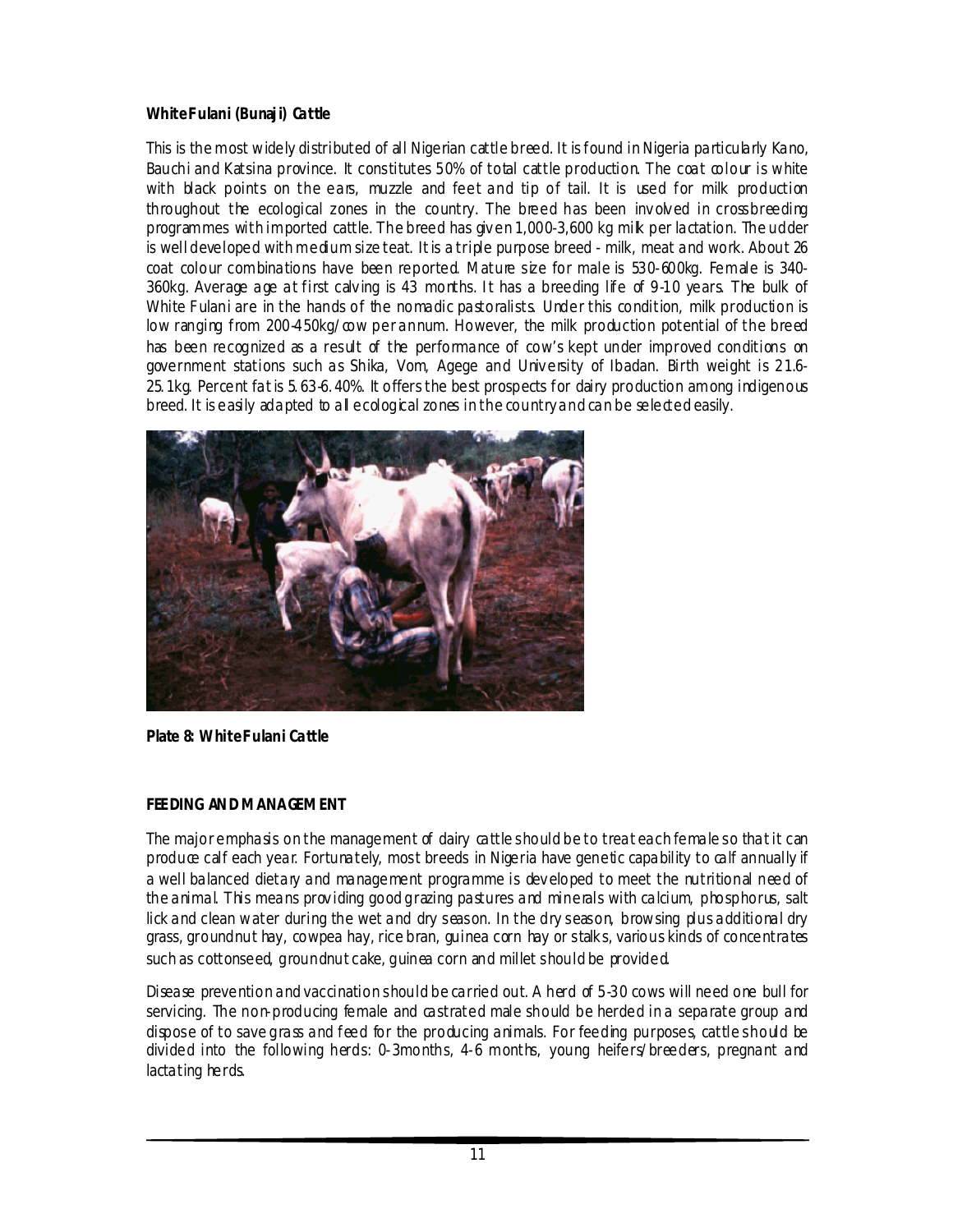### **White F ulani (Bunaj i) Cattle**

This is the most widely distributed of all Nigerian cattle breed. It is found in Nigeria particularly Kano, Bauchi and Katsina province. It constitutes 50% of total cattle production. The coat colour is white with black points on the ears, muzzle and feet and tip of tail. It is used for milk production throughout the ecological zones in the country. The breed has been inv olv ed in crossbreeding programmes with imported cattle. The breed has giv en 1,000-3,600 kg milk per lactation. The udder is well developed with medium size teat. It is a triple purpose breed - milk, meat and work. About 26 coat colour combinations have been reported. Mature size for male is 530-600kg. Female is 340- 360kg. Average age at first calving is 43 months. It has a breeding life of 9-10 years. The bulk of White Fulani are in the hands of the nomadic pastoralists. Under this condition, milk production is low ranging from 200-450kg/cow per annum. However, the milk production potential of the breed has been recognized as a result of the performance of cow's kept under improved conditions on government stations such as Shika, Vom, Agege and Univ ersity of Ibadan. Birth weight is 21.6- 25. 1kg. Percent fat is 5. 63-6. 40%. It offers the best prospects for dairy production among indigenous breed. It is easily adapted to all ecological zones in the country and can be selected easily.



**Plate 8: White Fulani Cattle** 

# **FEEDING AND MANAGEMENT**

The major emphasis on the management of dairy cattle should be to treat each female so that it can produce calf each year. Fortunately, most breeds in Nigeria have genetic capability to calf annually if a well balanced dietary and management programme is dev eloped to meet the nutritional need of the animal. This means prov iding good grazing pastures and minerals with calcium, phosphorus, salt lick and clean water during the wet and dry season. In the dry season, browsing plus additional dry grass, groundnut hay, cowpea hay, rice bran, guinea corn hay or stalk s, various kinds of concentrates such as cottonseed, groundnut cake, guinea corn and millet should be provided.

Disease prevention and vaccination should be carried out. A herd of 5-30 cows will need one bull for servicing. The non-producing female and castrated male should be herded in a separate group and dispose of to save grass and feed for the producing animals. For feeding purposes, cattle should be divided into the following herds: 0-3months, 4-6 months, young heifers/breeders, pregnant and lactating herds.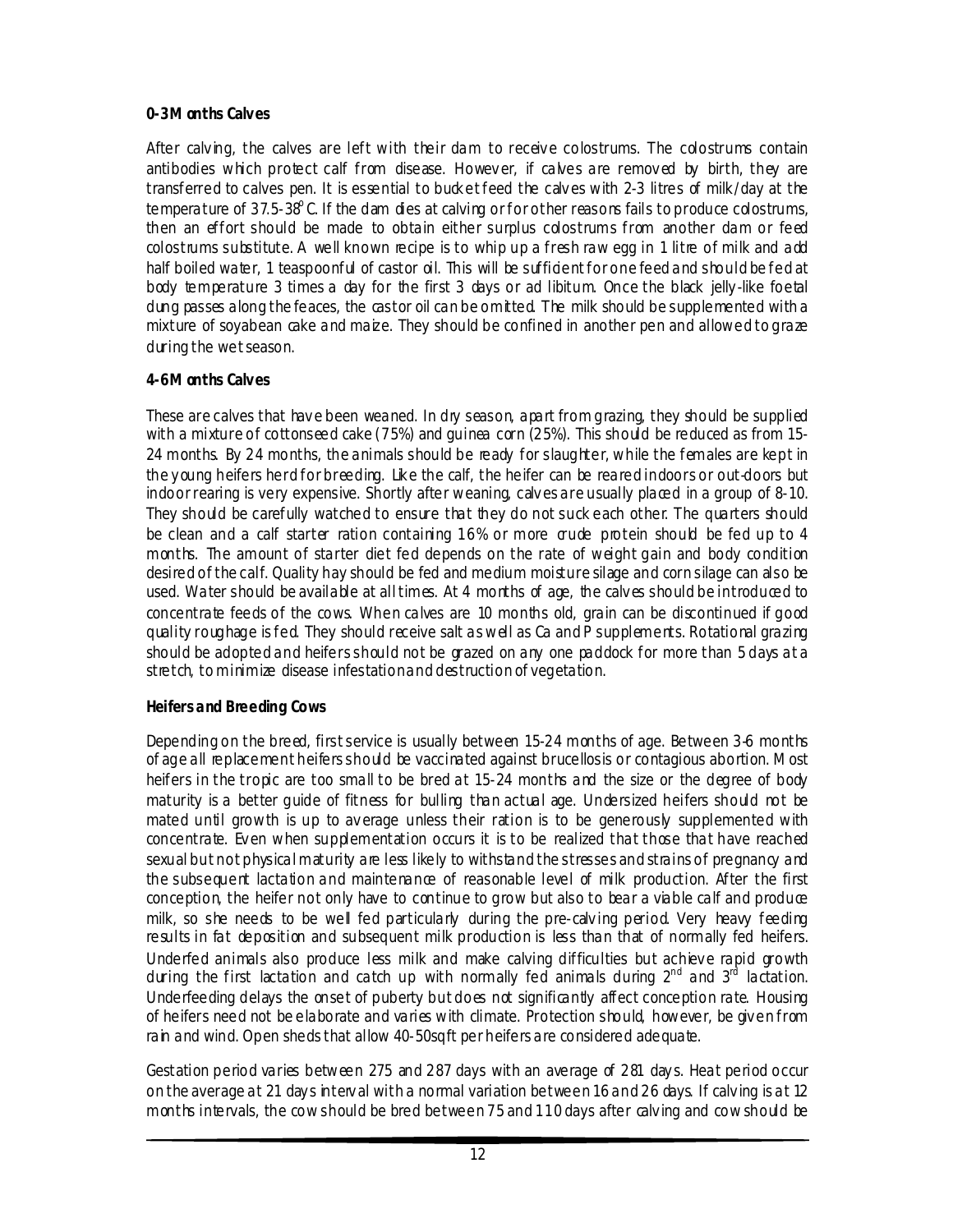# **0-3 M onths Calves**

After calving, the calves are left with their dam to receive colostrums. The colostrums contain antibodies which protect calf from disease. Howev er, if calves are remov ed by birth, they are transferred to calves pen. It is essential to buck et feed the calv es with 2-3 litres of milk /day at the temperature of 37.5-38°C. If the dam dies at calving or for other reasons fails to produce cdostrums, then an effort should be made to obtain either surplus colostrums from another dam or feed colostrums substitute. A well known recipe is to whip up a fresh raw egg in 1 litre of milk and add half boiled water, 1 teaspoonful of castor oil. This will be sufficient for one feed and should be fed at body temperature 3 times a day for the first 3 days or *ad libitum*. Once the black jelly -like foetal dung passes along the feaces, the castor oil can be omitted. The milk should be supplemented with a mixture of soyabean cake and maize. They should be confined in another pen and allowed to graze during the wet season.

# **4-6 M onths Calves**

These are calves that have been weaned. In dry season, apart from grazing, they should be supplied with a mixture of cottonseed cake  $(75%)$  and guinea corn  $(25%)$ . This should be reduced as from 15-24 months. By 24 months, the animals should be ready for slaughter, while the females are kept in the y oung heifers herd for breeding. Like the calf, the heifer can be reared indoors or out-doors but indoor rearing is very expensive. Shortly after weaning, calv es are usually placed in a group of 8-10. They should be carefully watched to ensure that they do not suck each other. The quarters should be clean and a calf starter ration containing 16% or more grude protein should be fed up to 4 months. The amount of starter diet fed depends on the rate of weight gain and body condition desired of the calf. Quality hay should be fed and medium moisture silage and corn silage can also be used. Water should be available at all times. At 4 months of age, the calv es should be introduced to concentrate feeds of the cows. When calves are 10 months old, grain can be discontinued if good quality roughage is fed. They should receive salt as well as Ca and P supplements. Rotational grazing should be adopted and heifers should not be grazed on any one paddock for more than 5 days at a stretch, to minimize disease infestation and destruction of vegetation.

# **Heifers and Breeding Cows**

Depending on the breed, first service is usually between 15-24 months of age. Between 3-6 months of age all replacement heifers should be vaccinated against brucellosis or contagious abortion. Most heifers in the tropic are too small to be bred at 15-24 months and the size or the degree of body maturity is a better guide of fitness for bulling than actual age. Undersized heifers should not be mated until growth is up to average unless their ration is to be generously supplemented with concentrate. Even when supplementation occurs it is to be realized that those that have reached sexual but not physical maturity are less likely to withs and the stresses and strains of pregnancy and the subsequent lactation and maintenance of reasonable level of milk production. After the first conception, the heifer not only have to continue to grow but also to bear a viable calf and produce milk, so she needs to be well fed particularly during the pre-calving period. Very heavy feeding results in fat deposition and subsequent milk production is less than that of normally fed heifers. Underfed animals also produce less milk and make calving difficulties but achieve rapid growth during the first lactation and catch up with normally fed animals during  $2^{nd}$  and  $3^{rd}$  lactation. Underfeeding delays the onset of puberty but does not significantly affect conception rate. Housing of heifers need not be elaborate and varies with climate. Protection should, however, be giv en from rain and wind. Open sheds that allow 40-50sqft per heifers are considered adequate.

Gestation period varies between 275 and 287 days with an average of 281 day s. Heat period occur on the average at 21 day s interv al with a normal variation between 16 and 26 days. If calv ing is at 12 months intervals, the cow should be bred between 75 and 110 days after calv ing and cow should be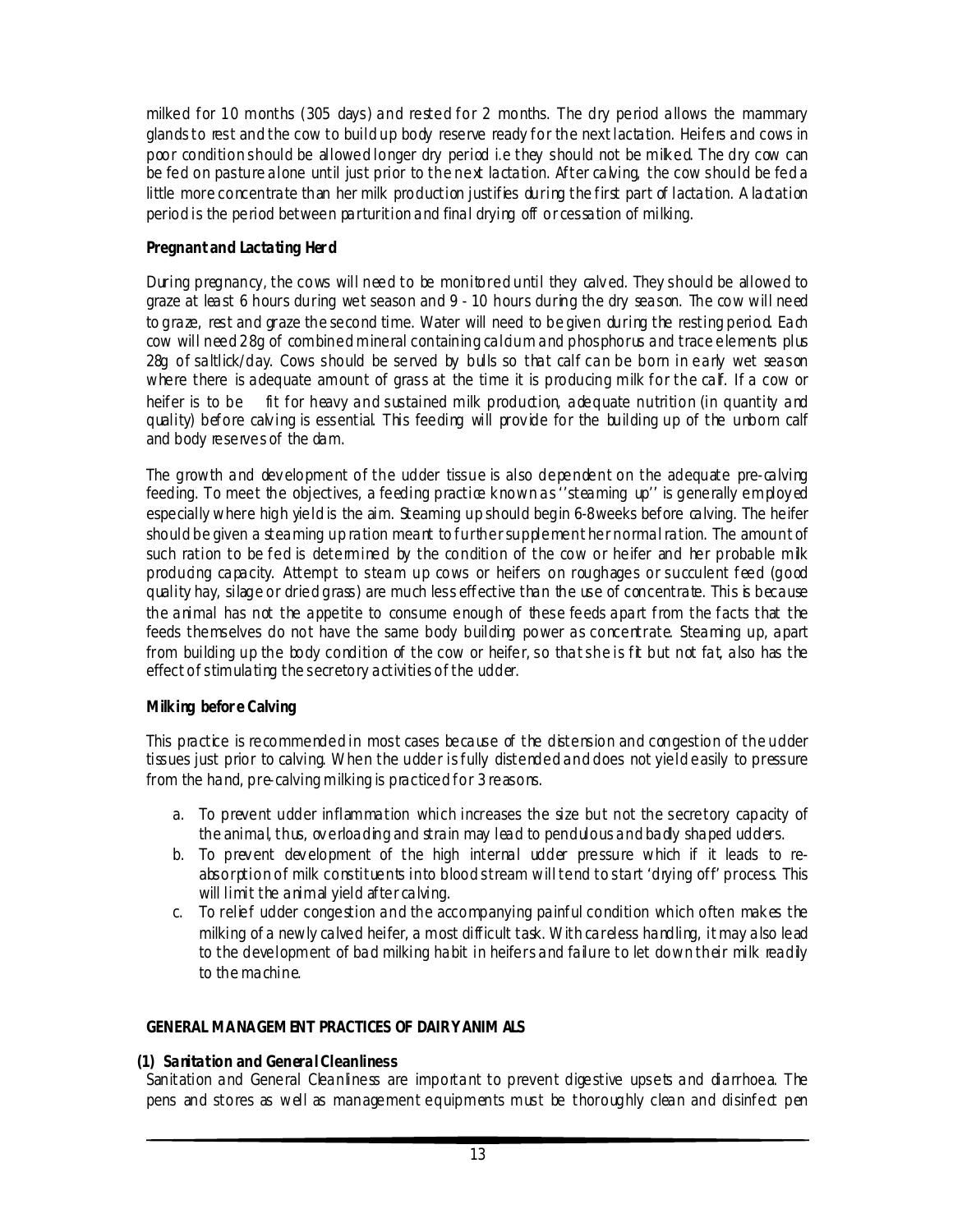milked for 10 months (305 days) and rested for 2 months. The dry period allows the mammary glands to rest and the cow to build up body reserve ready for the next lactation. Heifers and cows in poor condition should be allowed longer dry period i.e they should not be miked. The dry cow can be fed on pasture alone until just prior to the next lactation. After calving, the cow should be fed a little more concentrate than her milk production justifies during the first part of lactation. A lactation period is the period between parturition and final drying off or cessation of milking.

# **Pregnant and Lactating Her d**

During pregnancy, the cows will need to be monitored until they calv ed. They should be allowed to graze at least 6 hours during wet season and 9 - 10 hours during the dry season. The cow will need to graze, rest and graze the second time. Water will need to be given during the resting period. Each cow will need 28g of combined mineral containing caldum and phosphorus and trace elements plus 28g of saltlick/day. Cows should be served by bulls so that calf can be born in early wet season where there is adequate amount of grass at the time it is producing milk for the calf. If a cow or heifer is to be fit for heavy and sustained milk production, adequate nutrition (in quantity and quality) before calv ing is essential. This feeding will prov ide for the building up of the unborn calf and body reserves of the dam.

The growth and dev elopment of the udder tissue is also dependent on the adequate pre-calving feeding. To meet the objectives, a feeding practice known as "steaming up" is generally employed especially where high yield is the aim. Steaming up should begin 6-8weeks before calving. The heifer should be given a steaming up ration meant to further supplement her normal ration. The amount of such ration to be fed is determined by the condition of the cow or heifer and her probable milk producing capacity. Attempt to steam up cows or heifers on roughages or succulent feed (good quality hay, silage or dried grass) are much less effective than the use of concentrate. This is because the animal has not the appetite to consume enough of these feeds apart from the facts that the feeds themselves do not have the same body building power as concentrate. Steaming up, apart from building up the body condition of the cow or heifer, so that she is fit but not fat, also has the effect of stimulating the secretory activities of the udder.

# **Milking befor e Calving**

This practice is recommended in most cases because of the distension and congestion of the udder tissues just prior to calving. When the udder is fully distended and does not yield easily to pressure from the hand, pre-calving milking is practiced for 3 reasons.

- a. To prevent udder inflammation which increases the size but not the secretory capacity of the animal, thus, overloading and strain may lead to pendulous and bady shaped udders.
- b. To prev ent dev elopment of the high internal udder pressure which if it leads to reabsorption of milk constituents into blood stream will tend to start 'drying off' process. This will limit the animal yield after calving.
- c. To relief udder congestion and the accompanying painful condition which often mak es the milking of a newly calved heifer, a most difficult task. With careless handling, it may also lead to the development of bad milking habit in heifers and failure to let down their milk readily to the machine.

#### **GENERAL MANAGEMENT PRACTICES OF DAIRY ANIM ALS**

#### **(1) Sanitation and General Cleanliness**

Sanitation and General Cleanliness are important to prevent digestive upsets and diarrhoea. The pens and stores as well as management equipments must be thoroughly clean and disinfect pen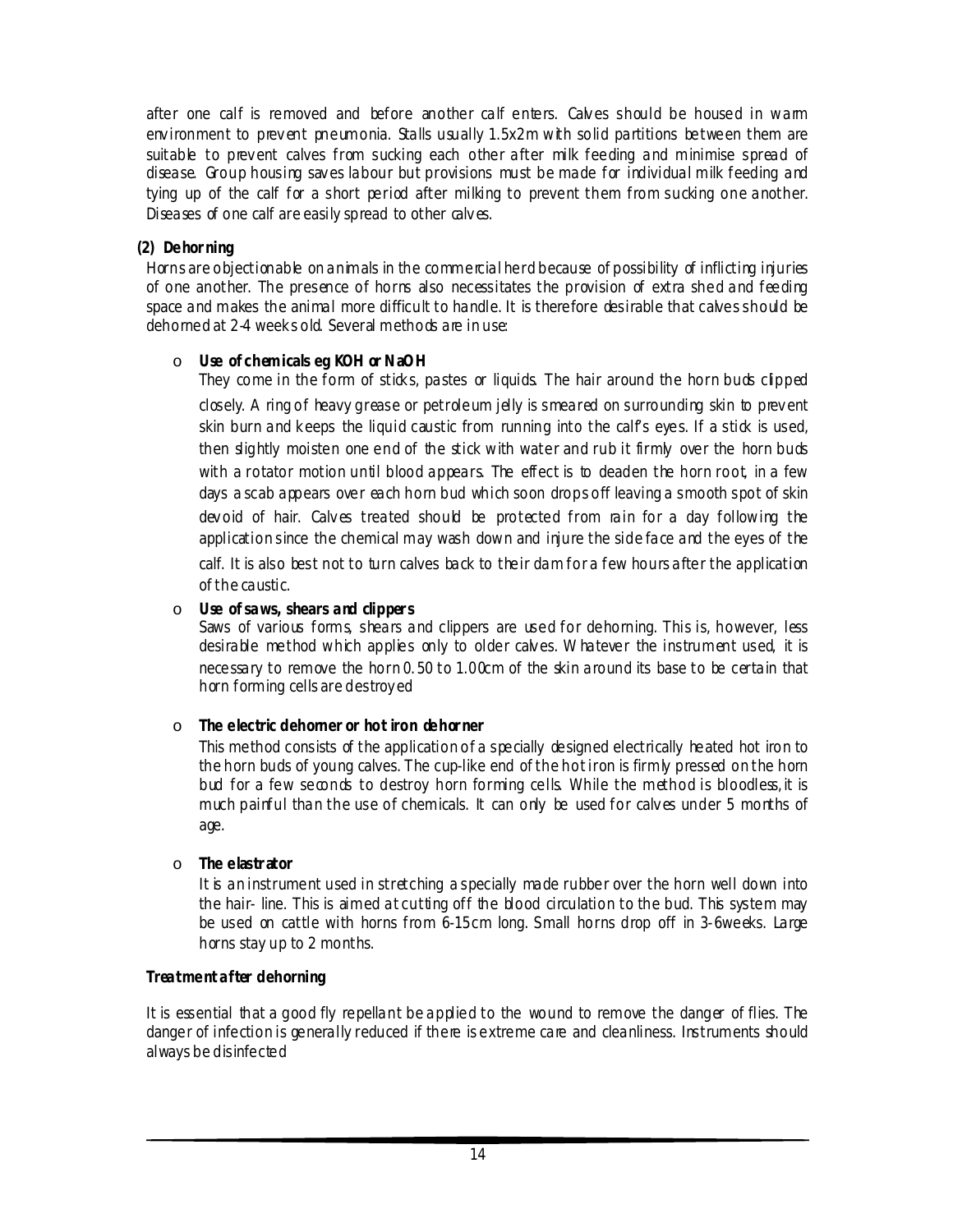after one calf is removed and before another calf enters. Calves should be housed in warm environment to prevent pneumonia. Stalls usually 1.5x2m with solid partitions between them are suitable to prevent calves from sucking each other after milk feeding and minimise spread of disease. Group housing sav es labour but provisions must be made for individual milk feeding and tying up of the calf for a short period after milking to prevent them from sucking one another. Diseases of one calf are easily spread to other calves.

#### **(2) Dehor ning**

Horns are objectionable on animals in the commercial herd because of possibility of inflicting injuries of one another. The presence of horns also necessitates the provision of extra shed and feeding space and makes the animal more difficult to handle. It is therefore desirable that calves should be dehorned at 2-4 week s old. Several methods are in use:

### o **Use of chemicals eg KOH or NaOH**

They come in the form of sticks, pastes  $\alpha$  liquids. The hair around the horn buds clipped closely. A ring of heavy grease or petroleum jelly is smeared on surrounding skin to prev ent skin burn and keeps the liquid caustic from running into the calf's eyes. If a stick is used, then slightly moisten one end of the stick with water and rub it firmly over the horn buds with a rotator motion until blood appears. The effect is to deaden the horn root, in a few days a scab appears over each horn bud which soon drops off leaving a smooth spot of skin devoid of hair. Calves treated should be protected from rain for a day following the application since the chemical may wash down and injure the side face and the eyes of the calf. It is also best not to turn calves back to their dam for a few hours after the application of the caustic.

### o **Use of saws, shears and clipper s**

Saws of various forms, shears and clippers are used for dehorning. This is, however, less desirable method which applies only to older calves. W hatever the instrument used, it is necessary to remove the horn 0. 50 to 1.00cm of the skin around its base to be certain that horn forming cells are destroy ed

# o **The electric dehorner or hot iron dehor ner**

This method consists of the application of a specially designed electrically heated hot iron to the horn buds of young calves. The cup-like end of the hot iron is firmly pressed on the horn bud for a few seconds to destroy horn forming cells. While the method is bloodless, it is much painful than the use of chemicals. It can only be used for calv es under 5 months of age.

#### o **The elastr ator**

It is an instrument used in stretching a specially made rubber over the horn well down into the hair- line. This is aimed at cutting off the blood circulation to the bud. This system may be used on cattle with horns from 6-15cm long. S mall horns drop off in 3-6weeks. Large horns stay up to 2 months.

#### **Treatment after dehorning**

It is essential that a good fly repellant be applied to the wound to remove the danger of flies. The danger of infection is generally reduced if there is extreme care and cleanliness. Instruments should always be disinfected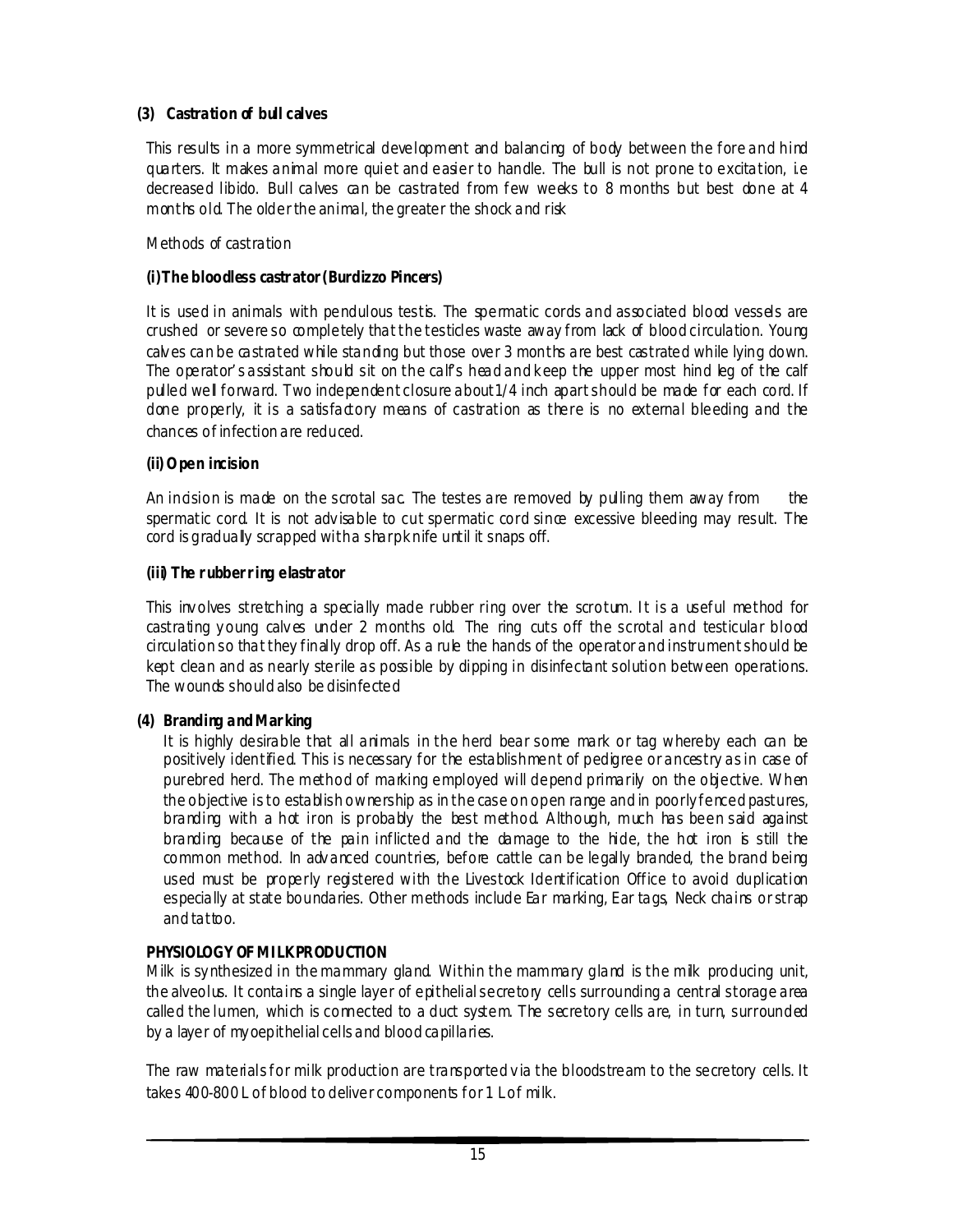# **(3) Castration of bull calves**

This results in a more symmetrical development and balancing of body between the fore and hind quarters. It makes animal more quiet and easier to handle. The bull is not prone to excitation, i.e decreased libido. Bull calves can be castrated from few weeks to 8 months but best done at 4 months old. The older the animal, the greater the shock and risk

Methods of castration

#### **(i)The bloodless castr ator (Burdizzo Pincers)**

It is used in animals with pendulous testis. The spermatic cords and associated blood vessels are crushed or severe so completely that the testicles waste away from lack of blood circulation. Young calv es can be castrated while standing but those over 3 months are best castrated while lying down. The operator' s assistant should sit on the calf's head and k eep the upper most hind leg of the calf pulled well forward. Two independent closure about1/4 inch apart should be made for each cord. If done properly, it is a satisfactory means of castration as there is no external bleeding and the chances of infection are reduced.

#### **(ii) Open incision**

An indision is made on the scrotal sac. The testes are removed by pulling them away from the spermatic cord. It is not advisable to cut spermatic cord since excessive bleeding may result. The cord is gradually scrapped with a sharp k nife until it snaps off.

#### **(iii) The r ubber r ing elastr ator**

This involves stretching a specially made rubber ring over the scrotum. It is a useful method for castrating y oung calv es under 2 months old. The ring cuts off the scrotal and testicular blood circulation so that they finally drop off. As a rule the hands of the operator and instrument should be kept clean and as nearly sterile as possible by dipping in disinfectant solution between operations. The wounds should also be disinfected

#### **(4) Branding and Mar king**

It is highly desirable that all animals in the herd bear some mark or tag whereby each can be positively identified. This is necessary for the establishment of pedigree or ancestry as in case of purebred herd. The method of marking employed will depend primarily on the objective. When the objective is to establish ownership as in the case on open range and in poorly fenced pastures, branding with a hot iron is probably the best method. Although, much has been said against branding because of the pain inflicted and the damage to the hide, the hot iron is still the common method. In adv anced countries, before cattle can be legally branded, the brand being used must be properly registered with the Livestock Identification Office to avoid duplication especially at state boundaries. Other methods include Ear marking, Ear tags, Neck chains or strap and tattoo.

#### **PHYSIOLOGY OF MI LK PRODUCTION**

Milk is sy nthesized in the mammary gland. Within the mammary gland is the milk producing unit, the alveolus. It contains a single layer of epithelial secretory cells surrounding a central storage area called the lumen, which is connected to a duct system. The secretory cells are, in turn, surrounded by a layer of my oepithelial cells and blood capillaries.

The raw materials for milk production are transported v ia the bloodstream to the secretory cells. It takes 400-800 L of blood to deliver components for 1 L of milk.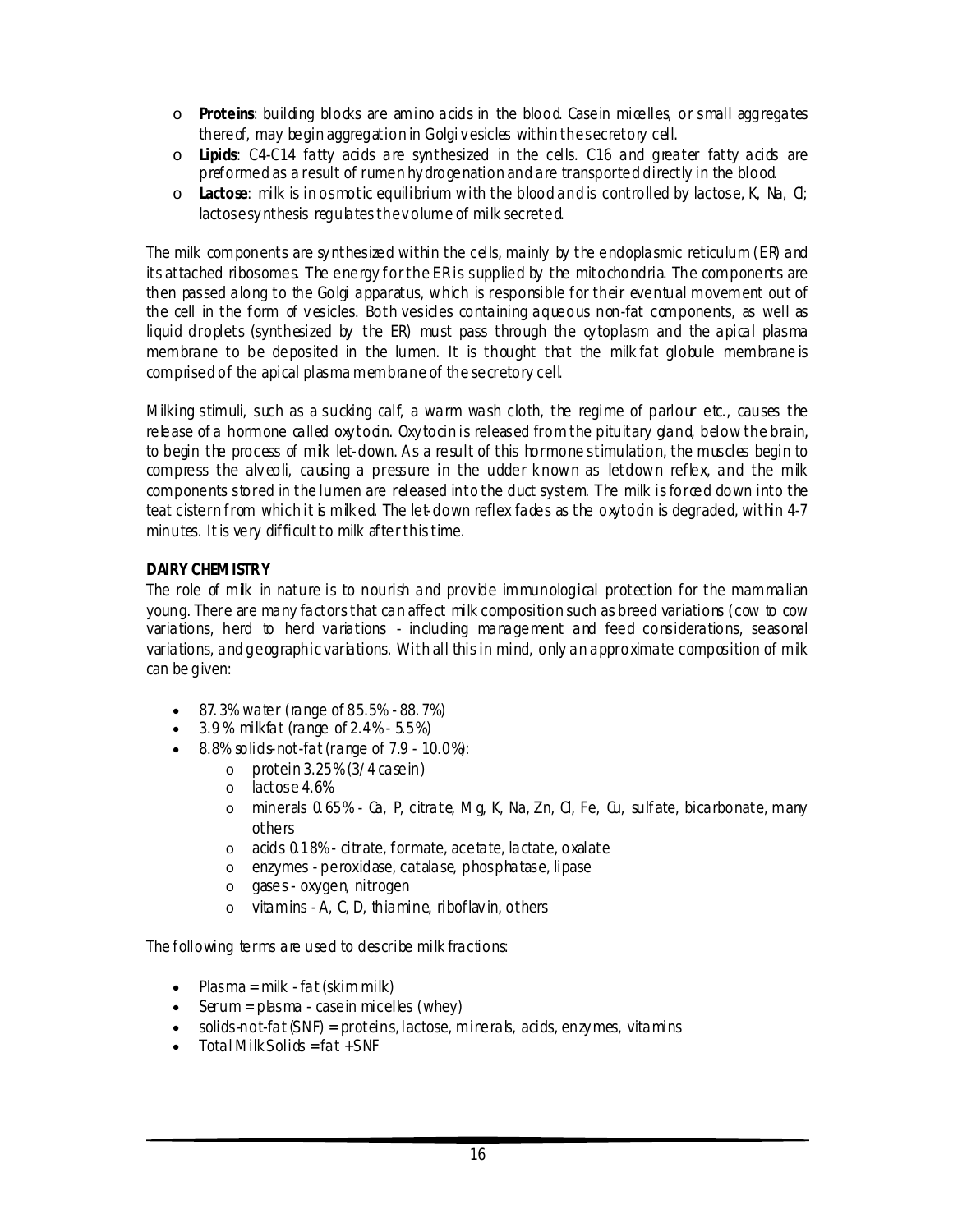- o **Proteins**: building blocks are amino acids in the blood. Casein micelles, or small aggregates there of, may begin aggregation in Golgi v esicles within the secretory cell.
- o **Lipids**: C4-C14 fatty acids are synthesized in the cells. C16 and greater fatty acids are preformed as a result of rumen hy drogenation and are transported directly in the blood.
- o **Lactose**: milk is in osmotic equilibrium with the blood and is controlled by lactose, K, Na, Cl; lactose synthesis regulates the volume of milk secreted.

The milk components are sy nthesized within the cells, mainly by the endoplasmic reticulum (ER) and its attached ribosomes. The energy for the ER is supplied by the mitochondria. The components are then passed along to the Golgi apparatus, which is responsible for their eventual movement out of the cell in the form of vesicles. Both vesicles containing aqueous non-fat components, as well as liquid droplets (synthesized by the ER) must pass through the cytoplasm and the apical plasma membrane to be deposited in the lumen. It is thought that the milk fat globule membrane is comprised of the apical plasma membrane of the secretory cell.

Milking stimuli, such as a sucking calf, a warm wash cloth, the regime of parlour etc., causes the release of a hormone called oxy todn. Oxy tocin is released from the pituitary gland, below the brain, to begin the process of milk let-down. As a result of this hormone stimulation, the muscles begin to compress the alveoli, causing a pressure in the udder known as letdown reflex, and the milk components stored in the lumen are released into the duct system. The milk is forced down into the teat cistern from which it is milked. The let-down reflex fades as the oxytodn is degraded, within 4-7 minutes. It is very difficult to milk after this time.

#### **DAIRY CHEMISTRY**

The role of milk in nature is to nourish and provide immunological protection for the mammalian young. There are many factors that can affect milk composition such as breed variations (cow to cow variations, herd to herd variations - including management and feed considerations, seasonal variations, and geographic variations. With all this in mind, only an approximate composition of milk can be given:

- 87. 3% water (range of 85.5% 88. 7%)
- $\bullet$  3.9% milkfat (range of 2.4% 5.5%)
- $\bullet$  8.8% solids-not-fat (range of 7.9 10.0%):
	- $\circ$  protein 3.25% (3/4 case in)
	- o lactose 4.6%
	- o minerals 0. 65% Ca, P, citrate, Mg, K, Na, Zn, Cl, Fe, Cu, sulfate, bicarbonate, many others
	- o acids 0.18% citrate, formate, acetate, lactate, oxalate
	- o enzymes peroxidase, catalase, phosphatase, lipase
	- o gases oxygen, nitrogen
	- o vitamins A, C, D, thiamine, riboflav in, others

The following terms are used to describe milk fractions:

- Plasma = milk fat (skim milk)
- $\bullet$  Serum = plasma case in micelles (whey)
- outids-not-fat (SNF) = proteins, lactose, minerals, acids, enzy mes, vitamins<br>
Intal Milk Solick = fat + SNF
- Total Milk Solick =  $fat + SNF$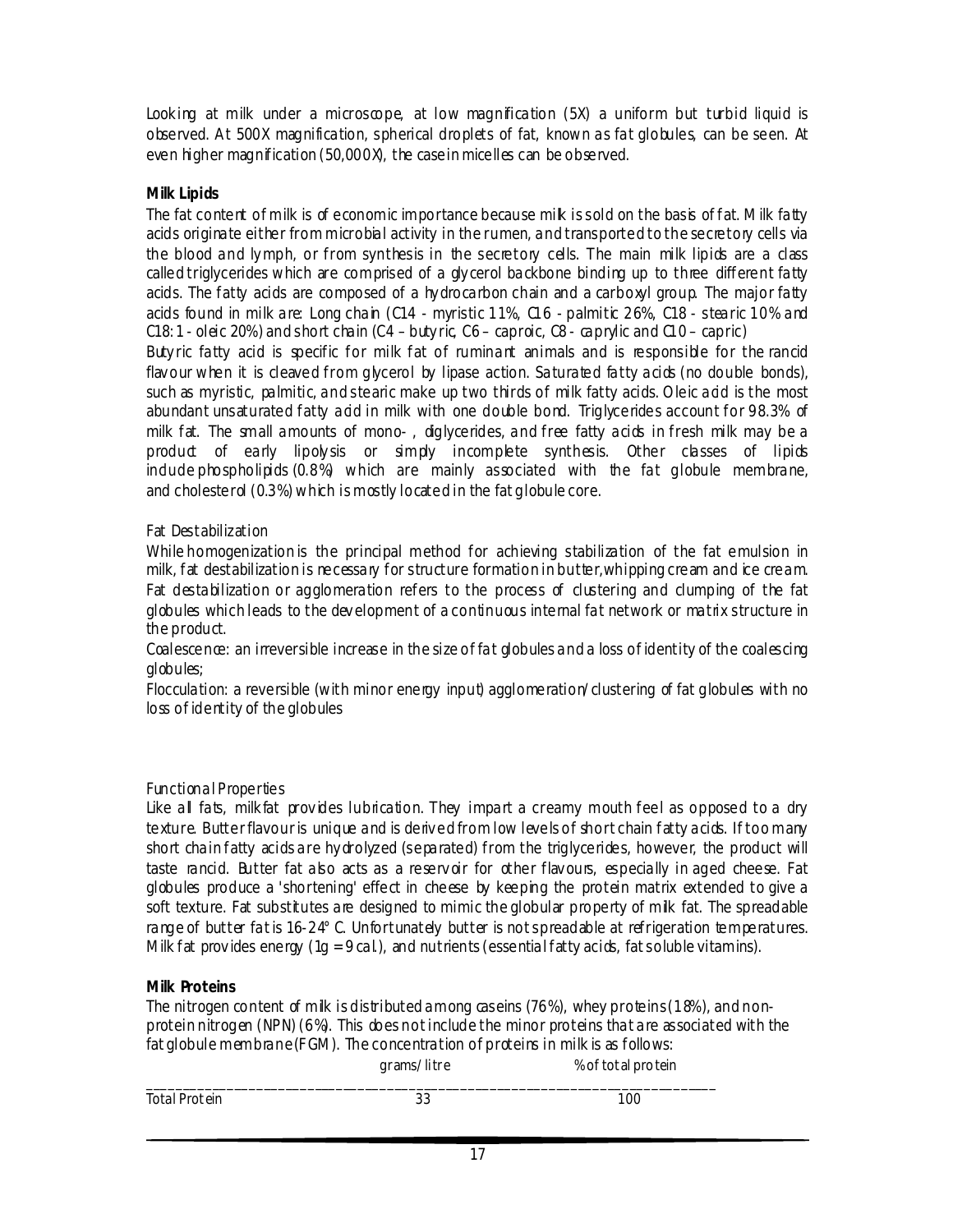Looking at milk under a microscope, at low magnification (5X) a uniform but turbid liquid is observed. At 500X magnification, spherical droplets of fat, known as fat globules, can be seen. At even higher magnification (50,000X), the case in micelles can be observed.

# **Milk Lipids**

The fat content of milk is of economic importance because mik is sold on the basis of fat. Milk fatty acids originate either from microbial activity in the rumen, and transported to the secretory cells via the blood and lymph, or from synthesis in the secretory cells. The main milk lipids are a class called triglycerides which are comprised of a gly cerol backbone binding up to three different fatty acids. The fatty acids are composed of a hy drocarbon chain and a carboxyl group. The major fatty acids found in milk are: Long chain (C14 - myristic 11%, C16 - palmitic 26%, C18 - stearic 10% and  $C18: 1$  - oleic 20%) and short chain  $(C4 - \text{butyric}, C6 - \text{capric}, C8 - \text{capylic}$  and  $C10 - \text{capric}$ Buty ric fatty acid is specific for milk fat of ruminant animals and is responsible for the rancid flavour when it is cleaved from glycerol by lipase action. Saturated fatty acids (no double bonds), such as myristic, palmitic, and stearic make up two thirds of milk fatty acids. Oleic add is the most abundant unsaturated fatty add in milk with one double bond. Triglycerides account for 98.3% of milk fat. The small amounts of mono- , diglycerides, and free fatty acids in fresh milk may be a

product of early lipolysis or simply incomplete synthesis. Other classes of lipids indude phospholipids (0.8%) which are mainly associated with the fat globule membrane, and cholesterd (0.3%) which is mostly located in the fat globule core.

#### *Fat Destabilization*

While homogenization is the principal method for achieving stabilization of the fat emulsion in milk, fat destabilization is necessary for structure formation in butter,whipping cream and ice cream. Fat destabilization or agglomeration refers to the process of clustering and clumping of the fat globules which leads to the development of a continuous internal fat network or matrix structure in the product.

Coalescence: an irreversible increase in the size of fat globules and a loss of identity of the coalescing globules;

Flocculation: a reversible (with minor energy input) agglomeration/clustering of fat globules with no loss of identity of the globules

# *Functional Properties*

Like all fats, milk fat provides lubrication. They impart a creamy mouth feel as opposed to a dry texture. Butter flavour is unique and is deriv ed from low levels of short chain fatty acids. If too many short chain fatty acids are hy drolyzed (separated) from the triglycerides, however, the product will taste rancid. Butter fat also acts as a reserv oir for other flavours, especially in aged cheese. Fat globules produce a 'shortening' effect in cheese by keeping the protein matrix extended to give a soft texture. Fat substitutes are designed to mimic the globular property of mik fat. The spreadable range of butter fat is 16-24°C. Unfortunately butter is not spreadable at refrigeration temperatures. Milk fat provides energy  $(1g = 9 cal)$ , and nutrients (essential fatty acids, fat soluble vitamins).

# **Milk Proteins**

The nitrogen content of milk is distributed among caseins (76%), whey proteins (18%), and nonprotein nitrogen (NPN) (6%). This does not include the minor proteins that are associated with the fat globule membrane (F GM). The concentration of proteins in milk is as follows:

|               | grams/litre | % of tot al pro tein |
|---------------|-------------|----------------------|
| Total Protein | 33          | 100                  |
|               |             |                      |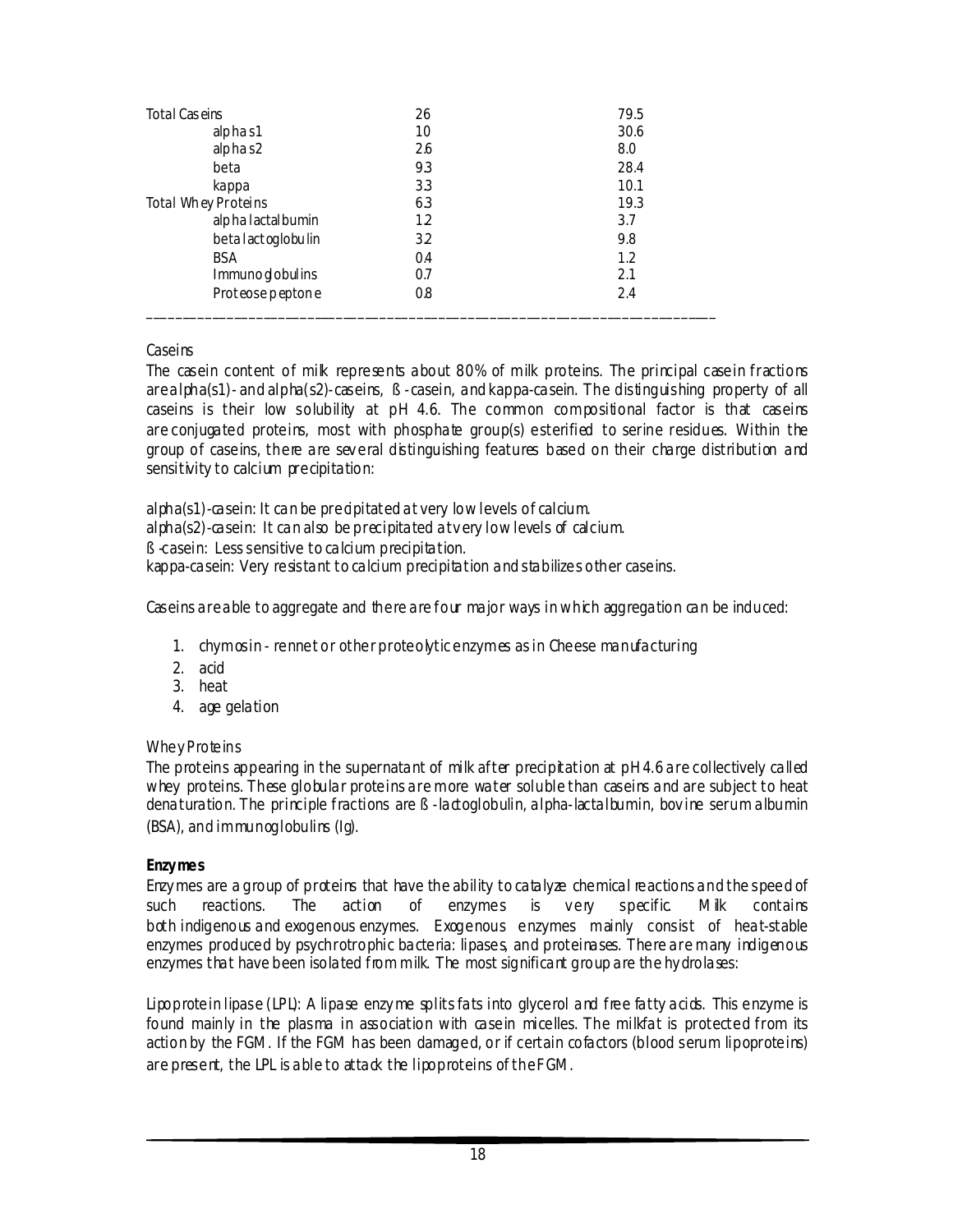| Total Caseins        | 26  | 79.5 |
|----------------------|-----|------|
| alphas1              | 10  | 30.6 |
| alphas2              | 26  | 8.0  |
| beta                 | 93  | 28.4 |
| kappa                | 3.3 | 10.1 |
| Total Whey Proteins  | 6.3 | 19.3 |
| alpha lactal bumin   | 12  | 3.7  |
| beta lact og lobulin | 32  | 9.8  |
| <b>BSA</b>           | 0.4 | 1.2  |
| Immuno globulins     | 0.7 | 2.1  |
| Proteose peptone     | 0.8 | 2.4  |
|                      |     |      |

#### *Caseins*

The casein content of mik represents about 80% of milk proteins. The principal casein fractions arealpha(s1)- and alpha(s2)-caseins, ß -casein, and kappa-casein. The distinguishing property of all caseins is their low solubility at pH 4.6. The common compositional factor is that caseins are conjugated proteins, most with phosphate group(s) esterified to serine residues. Within the group of caseins, there are sev eral distinguishing features based on their charge distribution and sensitivity to calcium precipitation:

alpha(s1)-casein: It can be precipitated at very low levels of calcium. alpha(s2)-casein: It can also be precipitated at v ery low levels of calcium. ß -casein: Less sensitive to calcium precipitation. kappa-casein: Very resistant to calcium precipitation and stabilizes other caseins.

Caseins are able to aggregate and there are four major ways in which aggregation can be induced:

- 1. chymosin rennet or other proteolytic enzymes as in Cheese manufacturing
- 2. acid
- 3. heat
- 4. age gelation

#### *Whey Proteins*

The proteins appearing in the supernatant of milk after precipitation at pH 4.6 are collectively called whey proteins. These globular proteins are more water soluble than caseins and are subject to heat denaturation. The principle fractions are ß -lactoglobulin, alpha-lactalbumin, bov ine serum albumin (BSA), and immunoglobulins (Ig).

#### **Enzymes**

Enzy mes are a group of proteins that have the ability to catalyze chemical reactions and the speed of such reactions. The action of enzymes is very specific. Milk contains both indigenous and exogenous enzymes. Exogenous enzymes mainly consist of heat-stable enzymes produced by psychrotrophic bacteria: lipases, and proteinases. There are many indigenous enzymes that have been isolated from milk. The most significant group are the hydrolases:

*Lipoprotein lipase (LPL)*: A lipase enzy me splits fats into glycerol and free fatty acids. This enzyme is found mainly in the plasma in association with casein micelles. The milkfat is protected from its action by the FGM. If the FGM has been damaged, or if certain cofactors (blood serum lipoproteins) are present, the LPL is able to attack the lipoproteins of the FGM.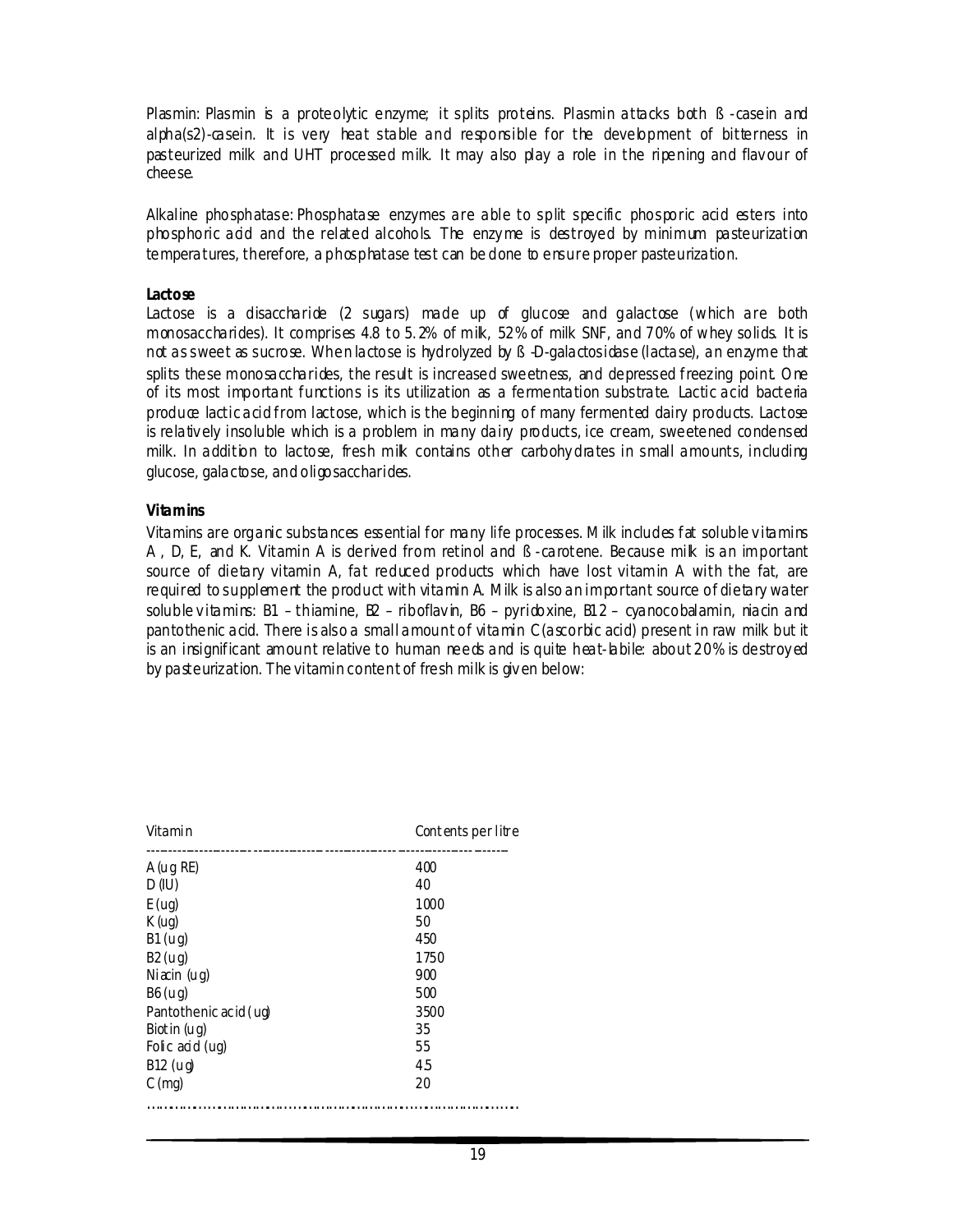*Plasmin:* Plasmin is a proteolytic enzyme; it splits proteins. Plasmin attacks both B-casein and alpha(s2)-casein. It is very heat stable and responsible for the development of bitterness in pasteurized milk and UHT processed milk. It may also play a role in the ripening and flavour of cheese.

*Alkaline phosphatase*: Phosphatase enzymes are able to split specific phosporic acid esters into phosphoric acid and the related alcohols. The enzy me is destroyed by minimum pasteurization temperatures, therefore, a phosphatase test can be done to ensure proper pasteurization.

#### **Lactose**

Lactose is a disaccharide (2 sugars) made up of glucose and galactose (which are both monosaccharides). It comprises 4.8 to 5. 2% of milk, 52% of milk SNF, and 70% of whey solids. It is not as sweet as sucrose. When lactose is hydrolyzed by  $\beta$  -D-galactosidase (lactase), an enzyme that splits these monosaccharides, the result is increased sweetness, and depressed freezing point. One of its most important functions is its utilization as a fermentation substrate. Lactic acid bacteria produce lactic acid from lactose, which is the beginning of many fermented dairy products. Lactose is relativ ely insoluble which is a problem in many dairy products, ice cream, sweetened condensed milk. In addition to lactose, fresh mik contains other carbohy drates in small amounts, including glucose, galactose, and oligosaccharides.

#### **Vitamins**

Vitamins are organic substances essential for many life processes. Milk includes fat soluble v itamins A , D, E, and K. Vitamin A is derived from retinol and ß -carotene. Because milk is an important source of dietary vitamin A, fat reduced products which have lost vitamin A with the fat, are required to supplement the product with vitamin A. Milk is also an important source of dietary water soluble v itamins:  $B1$  – thiamine,  $B2$  – riboflavin,  $B6$  – pyridoxine,  $B12$  – cyanocobalamin, niacin and pantothenic acid. There is also a small amount of vitamin C (ascorbic acid) present in raw milk but it is an insignificant amount relative to human needs and is quite heat-labile: about 20% is destroy ed by pasteurization. The vitamin content of fresh milk is giv en below:

| Vitamin               | Contents per litre |
|-----------------------|--------------------|
| A (uq RE)             | 400                |
| D(U)                  | 40                 |
| E(ug)                 | 1000               |
| K(uq)                 | 50                 |
| B1( uq)               | 450                |
| B2( uq)               | 1750               |
| Ni $\pi$ in (ug)      | 900                |
| B6 (uq)               | 500                |
| Pantothenic acid (ug) | 3500               |
| Biot in (ug)          | 35                 |
| Folic acid (ug)       | 55                 |
| B12 (ug)              | 45                 |
| $C \text{ (mg)}$      | 20                 |
|                       |                    |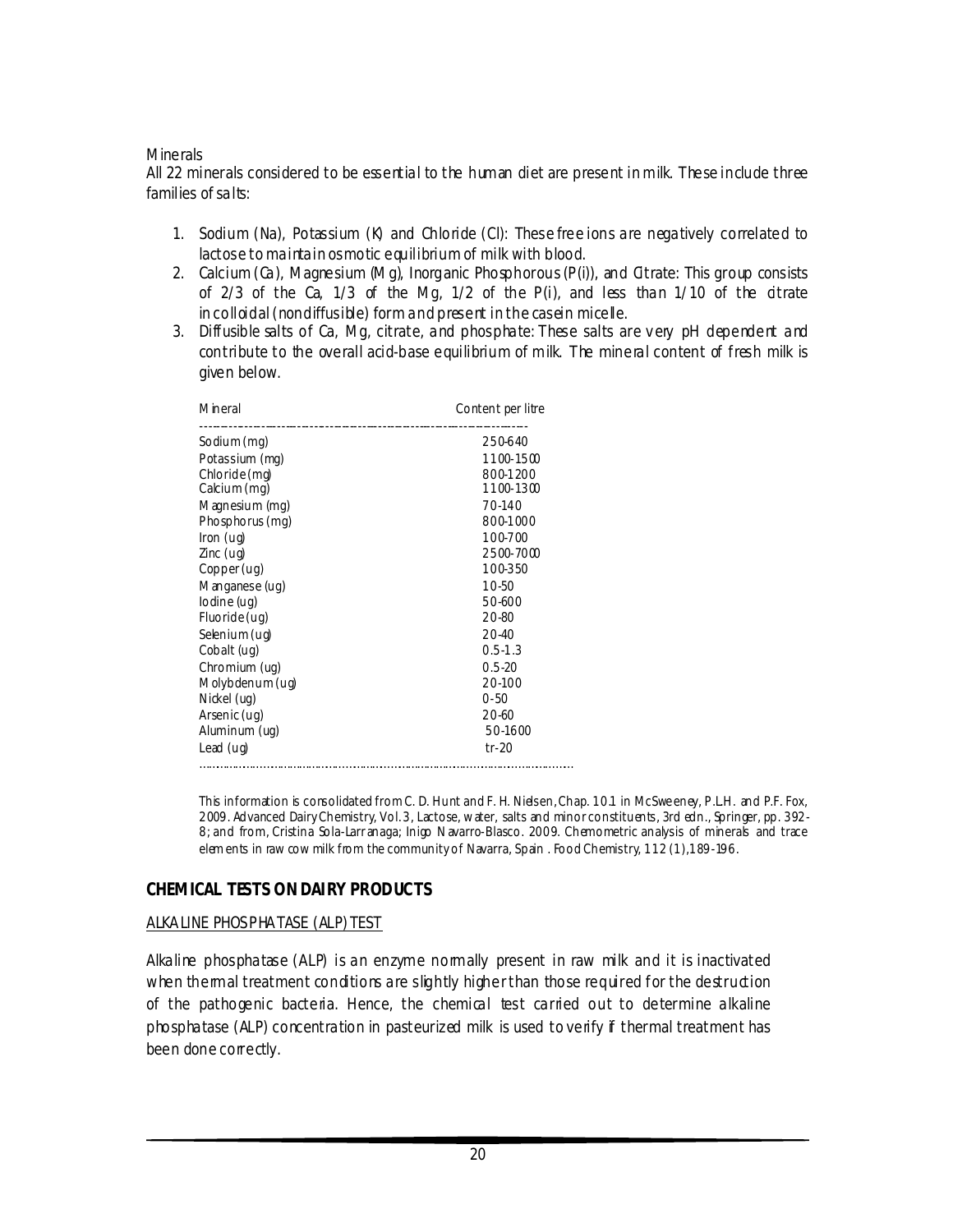#### **Minerals**

All 22 minerals considered to be essential to the human diet are present in milk. These include three families of salts:

- 1. Sodium (Na), Potassium (K) and Chloride (Cl): These *free* ions are negatively correlated to lactose to maintain osmotic equilibrium of milk with blood.
- 2. Calcium (Ca), Magnesium (Mg), Inorganic Phosphorous (P(i)), and Citrate: This group consists of 2/3 of the Ca,  $1/3$  of the Mg,  $1/2$  of the P(i), and less than  $1/10$  of the citrate in *colloidal* (nondiffusible) form and present in the casein micelle.
- 3. *Diffusible* salts of Ca, Mg, citrate, and phosphate: These salts are v ery pH dependent and contribute to the overall acid-base equilibrium of milk. The mineral content of fresh milk is given below.

| Mineral         | Content per litre |
|-----------------|-------------------|
| Sodium (mg)     | 250-640           |
| Potassium (mg)  | 1100-1500         |
| Chloride (mg)   | 800-1200          |
| Cacium (mg)     | 1100-1300         |
| Magnesium (mg)  | 70-140            |
| Phosphorus (mg) | 800-1000          |
| Iron(uq)        | 100-700           |
| $Zinc$ (ug)     | 2500-7000         |
| Copper(ug)      | 100-350           |
| Manganese (ug)  | $10 - 50$         |
| lodine (ug)     | 50-600            |
| Fluoride(ug)    | 20-80             |
| Selenium (ug)   | 20-40             |
| Cobalt (ug)     | $0.5 - 1.3$       |
| Chromium (ug)   | $0.5 - 20$        |
| Molybdenum (uq) | 20-100            |
| Nickel (ug)     | $0 - 50$          |
| Arsenic (ug)    | $20 - 60$         |
| Aluminum (uq)   | 50-1600           |
| Lead (ug)       | $tr-20$           |
|                 |                   |

This information is consolidated from C. D. Hunt and F. H. Nielsen, Chap. 10.1 in McSweeney, P.L.H. and P.F. Fox, 2009. Advanced Dairy Chemistry, Vol. 3, Lactose, water, salts and minor constituents, 3rd edn., Springer, pp. 392- 8; and from, Cristina Sola-Larr anaga; Inigo N avarro-Blasco. 2009. Chemometric analysis of minerals and trace elem ents in raw cow milk from the community of Navarra, Spain . Food Chemistry, 112 (1), 189-196.

# **CHEMICAL TESTS ON DAIRY PRODUCTS**

#### ALKALINE PHOS PHATASE (ALP) TEST

Alkaline phosphatase (ALP) is an enzyme normally present in raw milk and it is inactivated when thermal treatment conditions are slightly higher than those required for the destruction of the pathogenic bacteria. Hence, the chemical test carried out to determine alkaline phosphatase (ALP) concentration in pasteurized milk is used to verify if thermal treatment has been done correctly.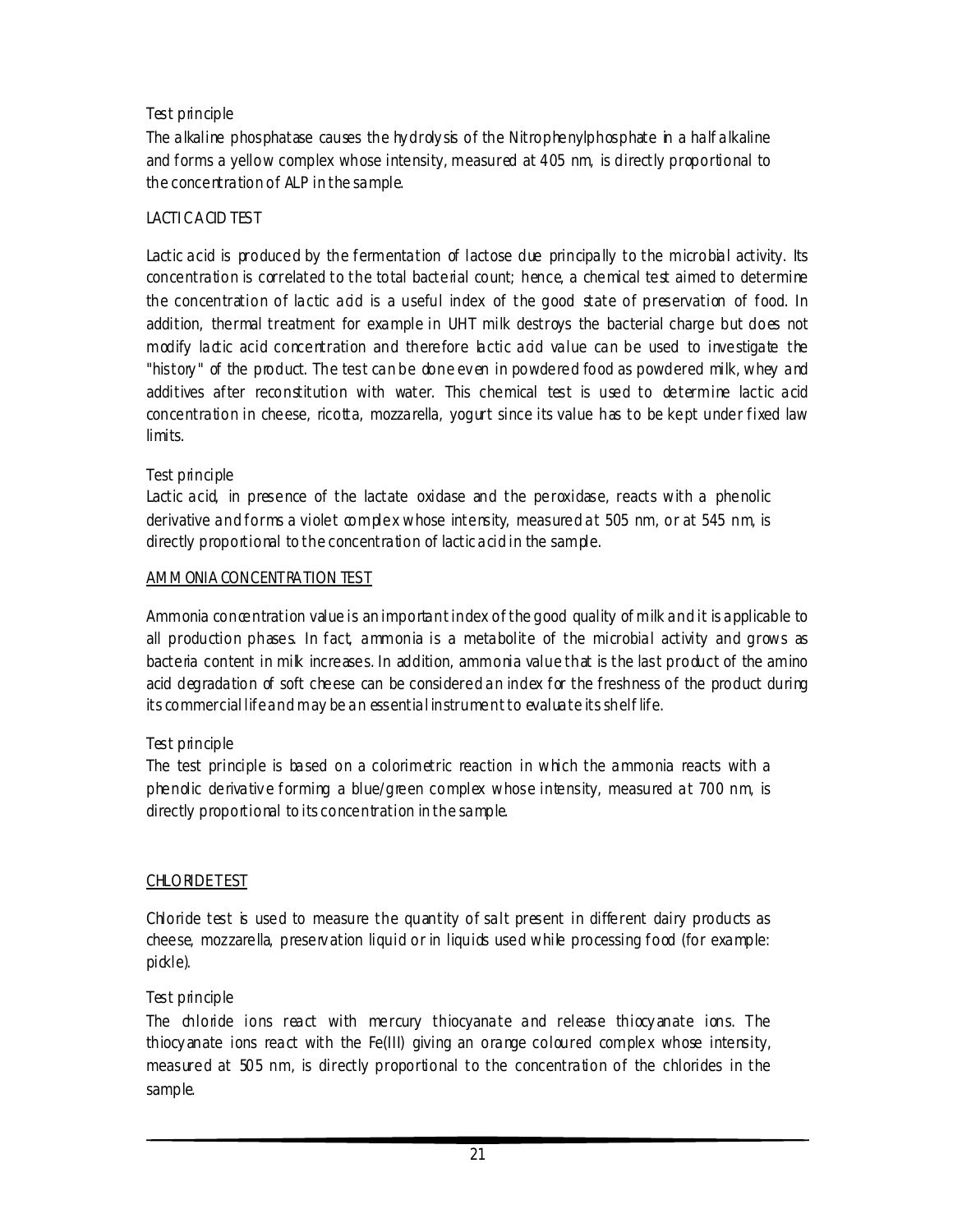# Test principle

The alkaline phosphatase causes the hydroly sis of the Nitrophenylphosphate in a half alkaline and forms a yellow complex whose intensity, measured at 405 nm, is directly proportional to the concentration of ALP in the sample.

# LACTI C ACID TES T

Lactic acid is produced by the fermentation of lactose due principally to the microbial activity. Its concentration is correlated to the total bacterial count; hence, a chemical test aimed to determine the concentration of lactic acid is a useful index of the good state of preservation of food. In addition, thermal treatment for example in UHT milk destroys the bacterial charge but does not modify lactic acid concentration and therefore lactic add value can be used to investigate the "history" of the product. The test can be obne ev en in powdered food as powdered milk, whey and additives after reconstitution with water. This chemical test is used to determine lactic acid concentration in cheese, ricotta, mozzarella, yogurt since its value has to be kept under fixed law limits.

# Test principle

Lactic acid, in presence of the lactate oxidase and the peroxidase, reacts with a phenolic derivative and forms a violet complex whose intensity, measured at 505 nm, or at 545 nm, is directly proportional to the concentration of lactic acid in the sample.

# AMMONIA CONCENTRATION TES T

Ammonia concentration value is an important index of the good quality of milk and it is applicable to all production phases. In fact, ammonia is a metabolite of the microbial activity and grows as bacteria content in milk increases. In addition, ammonia value that is the last product of the amino acid degradation of soft cheese can be considered an index for the freshness of the product during its commercial life and may be an essential instrument to evaluate its shelf life.

# Test principle

The test principle is based on a colorimetric reaction in which the ammonia reacts with a phenolic derivativ e forming a blue/green complex whose intensity, measured at 700 nm, is directly proportional to its concentration in the sample.

# **CHLORDETEST**

Chloride test is used to measure the quantity of salt present in different dairy products as cheese, mozzarella, preserv ation liquid or in liquids used while processing food (for example: pickle).

# Test principle

The chloride ions react with mercury thiocyanate and release thiocy anate ions. The thiocy anate ions react with the Fe(III) giving an orange coloured complex whose intensity, measured at 505 nm, is directly proportional to the concentration of the chlorides in the sample.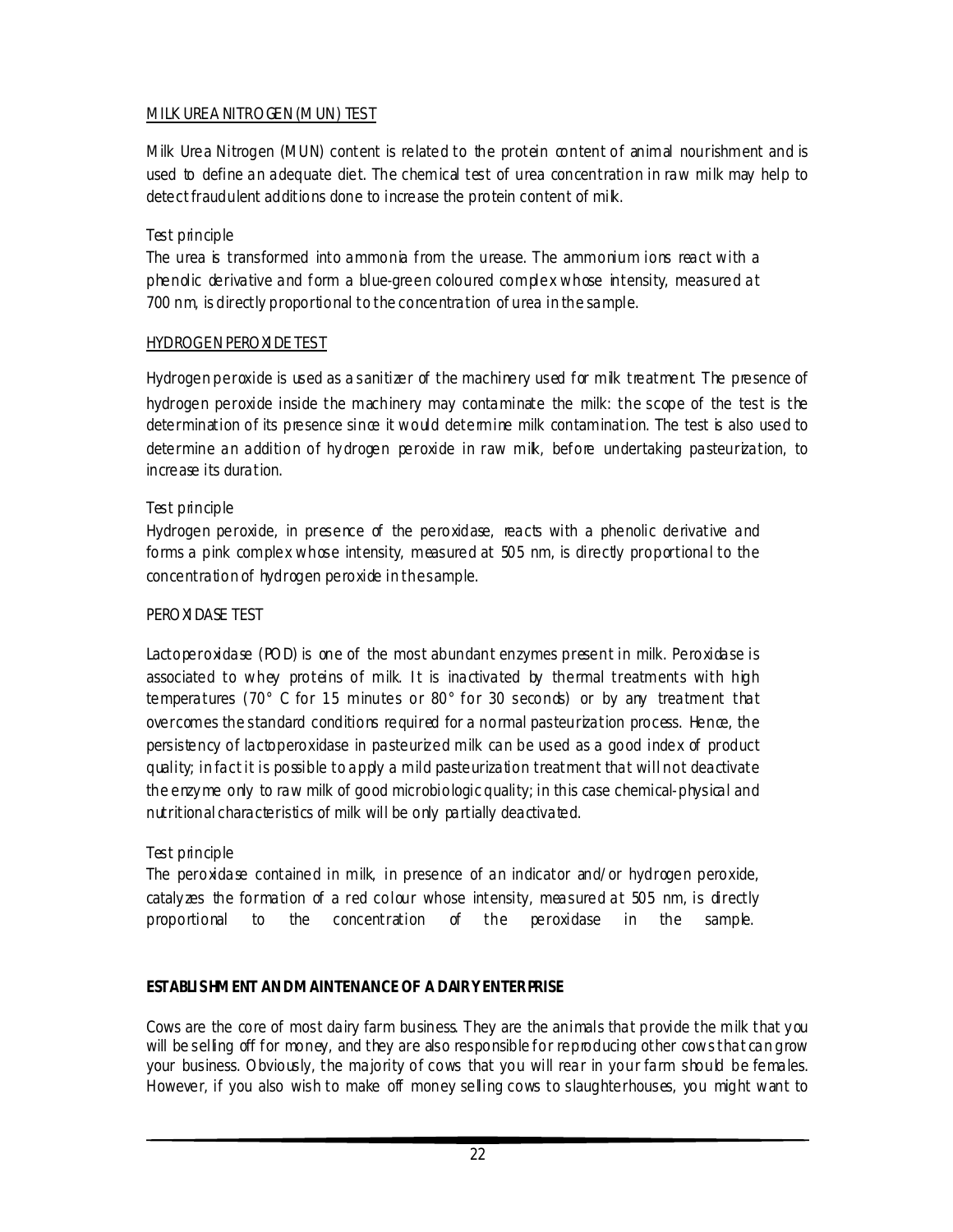# MILK UREA NITROGEN (MUN) TES T

Milk Urea Nitrogen (MUN) content is related to the protein content of animal nourishment and is used to define an adequate diet. The chemical test of urea concentration in raw milk may help to detect fraudulent additions done to increase the protein content of milk.

# Test principle

The urea is transformed into ammonia from the urease. The ammonium ions react with a phenolic derivative and form a blue-green coloured complex whose intensity, measured at 700 nm, is directly proportional to the concentration of urea in the sample.

# HYDROGEN PEROXI DE TES T

Hydrogen peroxide is used as a sanitizer of the machinery used for milk treatment. The presence of hydrogen peroxide inside the machinery may contaminate the milk: the scope of the test is the determination of its presence since it would determine milk contamination. The test is also used to determine an addition of hydrogen peroxide in raw mik, before undertaking pasteurization, to increase its duration.

# Test principle

Hydrogen peroxide, in presence of the peroxidase, reacts with a phenolic derivative and forms a pink complex whose intensity, measured at 505 nm, is directly proportional to the concentration of hydrogen peroxide in the sample.

# PEROXI DASE TEST

Lactoperoxidase (POD) is one of the most abundant enzymes present in milk. Peroxidase is associated to whey proteins of milk. It is inactivated by thermal treatments with high temperatures (70° C for 15 minutes or 80° for 30 seconds) or by any treatment that overcomes the standard conditions required for a normal pasteurization process. Hence, the persistency of lactoperoxidase in pasteurized milk can be used as a good index of product quality; in fact it is possible to apply a mild pasteurization treatment that will not deactivate the enzy me only to raw milk of good microbiologic quality; in this case chemical-physical and nutritional characteristics of milk will be only partially deactivated.

# Test principle

The peroxidase contained in milk, in presence of an indicator and/or hydrogen peroxide, cataly zes the formation of a red colour whose intensity, measured at 505 nm, is directly proportional to the concentration of the peroxidase in the sample.

# **ESTABLI SHMENT AND MAINTENANCE OF A DAIRY ENTERPRISE**

Cows are the core of most dairy farm business. They are the animals that provide the milk that you will be selling off for money, and they are also responsible for reproducing other cows that can grow your business. Obviously, the majority of cows that you will rear in your farm should be females. However, if you also wish to make off money selling cows to slaughterhouses, you might want to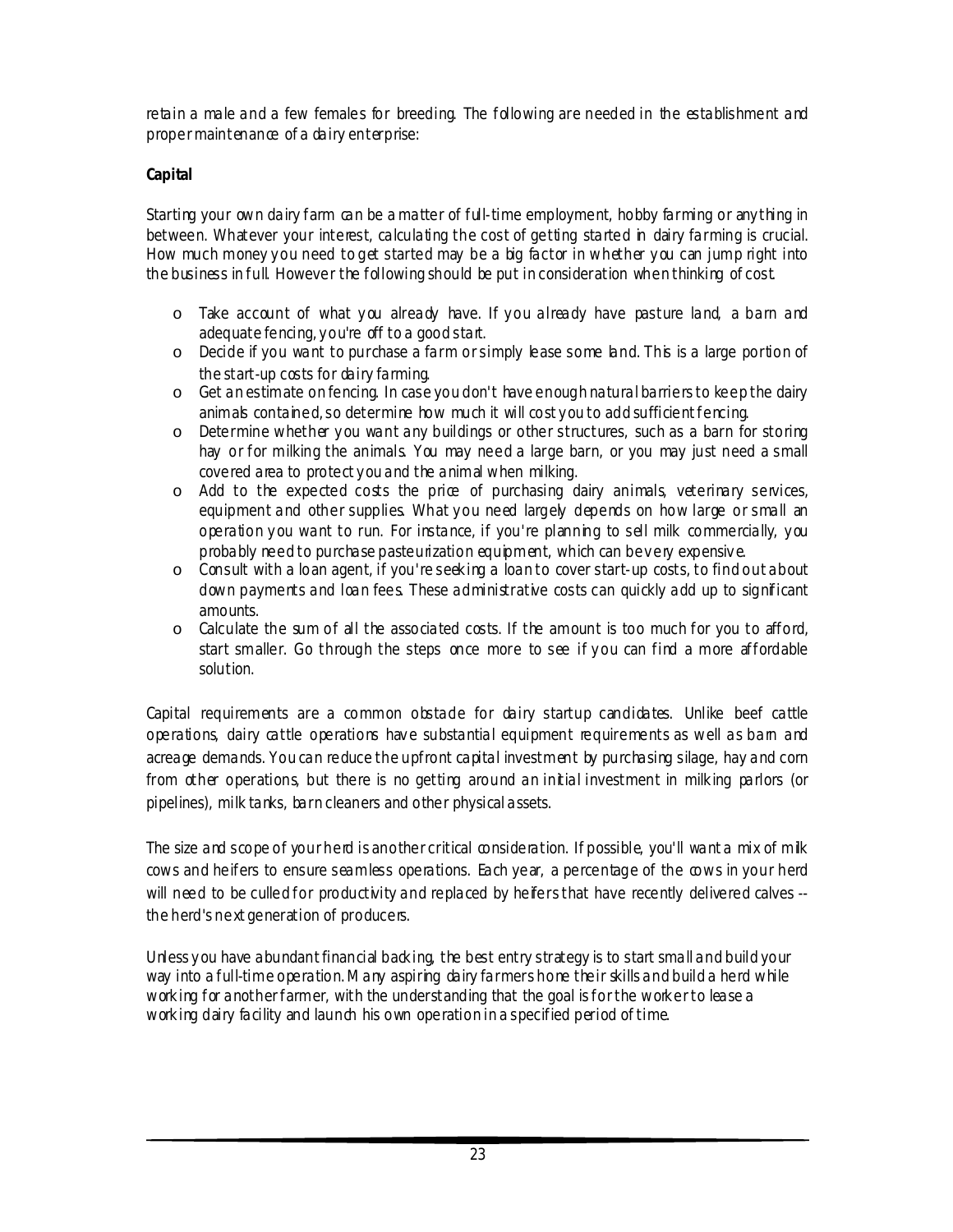retain a male and a few females for breeding. The following are needed in the establishment and proper maintenance of a dairy enterprise:

# **Capital**

Starting your own dairy farm can be a matter of ful-time employment, hobby farming or any thing in between. Whatever your interest, calculating the cost of getting started in dairy farming is crucial. How much money you need to get started may be a big factor in whether you can jump right into the business in full. However the following should be put in consideration when thinking of cost.

- o Take account of what you already have. If you already have pasture land, a barn and adequate fencing, y ou're off to a good start.
- o Decide if you want to purchase a farm or simply lease some land. This is a large portion of the start-up costs for dairy farming.
- o Get an estimate on fencing. In case you don't have enough natural barriers to keep the dairy animals contained, so determine how much it will cost you to add sufficient fencing.
- o Determine whether y ou want any buildings or other structures, such as a barn for storing hay or for milking the animals. You may need a large barn, or you may just need a small covered area to protect y ou and the animal when milking.
- $\circ$  Add to the expected costs the price of purchasing dairy animals, veterinary services, equipment and other supplies. What you need largely depends on how large or small an operation you want to run. For instance, if you're planning to sell milk commercially, you probably need to purchase pasteurization equipment, which can bevery expensive.
- o Consult with a loan agent, if you're seek ing a loan to cover start-up costs, to find out about down payments and loan fees. These administrative costs can quickly add up to significant amounts.
- $\circ$  Calculate the sum of all the associated costs. If the amount is too much for you to afford, start smaller. Go through the steps once more to see if you can find a more affordable solution.

Capital requirements are a common obstade for dairy startup candidates. Unlike beef cattle operations, dairy cattle operations have substantial equipment requirements as well as bam and acreage demands. You can reduce the upfront capital investment by purchasing silage, hay and corn from other operations, but there is no getting around an initial investment in milk ing parlors (or pipelines), milk tanks, barn cleaners and other physical assets.

The size and scope of your herd is another critical consideration. If possible, you'll want a mix of milk cows and heifers to ensure seamless operations. Each year, a percentage of the cows in your herd will need to be culled for productivity and replaced by heifers that have recently delivered calves -the herd's next generation of producers.

Unless you have abundant financial backing, the best entry strategy is to start small and build your way into a full-time operation. Many aspiring dairy farmers hone their skills and build a herd while working for another farmer, with the understanding that the goal is for the work er to lease a working dairy facility and launch his own operation in a specified period of time.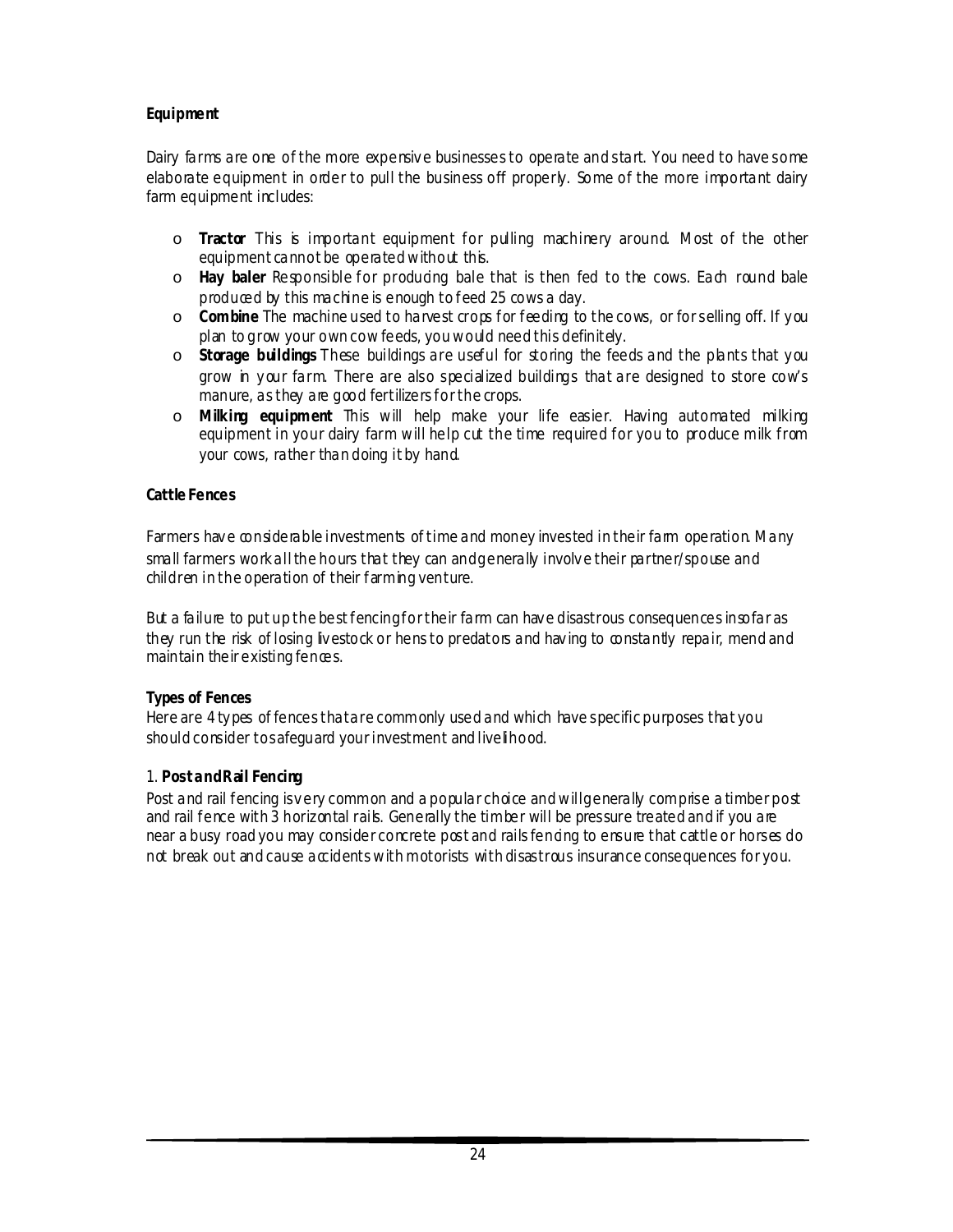# **Equipment**

Dairy farms are one of the more expensiv e businesses to operate and start. You need to have some elaborate equipment in order to pull the business off properly. Some of the more important dairy farm equipment includes:

- o **Tractor** This is important equipment for pulling machinery around. Most of the other equipment cannot be operated without this.
- o **Hay baler** Responsible for producing bale that is then fed to the cows. Each round bale produced by this machine is enough to feed 25 cows a day.
- o **Combine** The machine used to harvest crops for feeding to the cows, or for selling off. If y ou plan to grow your own cow feeds, you would need this definitely.
- o **Storage buildings** These buildings are useful for storing the feeds and the plants that y ou grow in y our farm. There are also specialized buildings that are designed to store cow's manure, as they are good fertilizers for the crops.
- o **Milking equipment** This will help make your life easier. Having automated milking equipment in your dairy farm will help cut the time required for you to produce milk from your cows, rather than doing it by hand.

### **Cattle Fences**

Farmers have considerable investments of time and money invested in their farm operation. Many small farmers work all the hours that they can and generally involv e their partner/spouse and children in the operation of their farming venture.

But a failure to put up the best fencing for their farm can hav e disastrous consequences insofar as they run the risk of losing liv estock or hens to predators and hav ing to constantly repair, mend and maintain their existing fences.

# **Types of Fences**

Here are 4 ty pes of fences that are commonly used and which have specific purposes that you should consider to safequard your investment and live lihood.

# 1. **Post and Rail Fencing**

Post and rail fencing is very common and a popular choice and will generally comprise a timber post and rail fence with 3 horizontal rails. Generally the timber will be pressure treated and if you are near a busy road you may consider concrete post and rails fencing to ensure that cattle or horses do not break out and cause accidents with motorists with disastrous insurance consequences for you.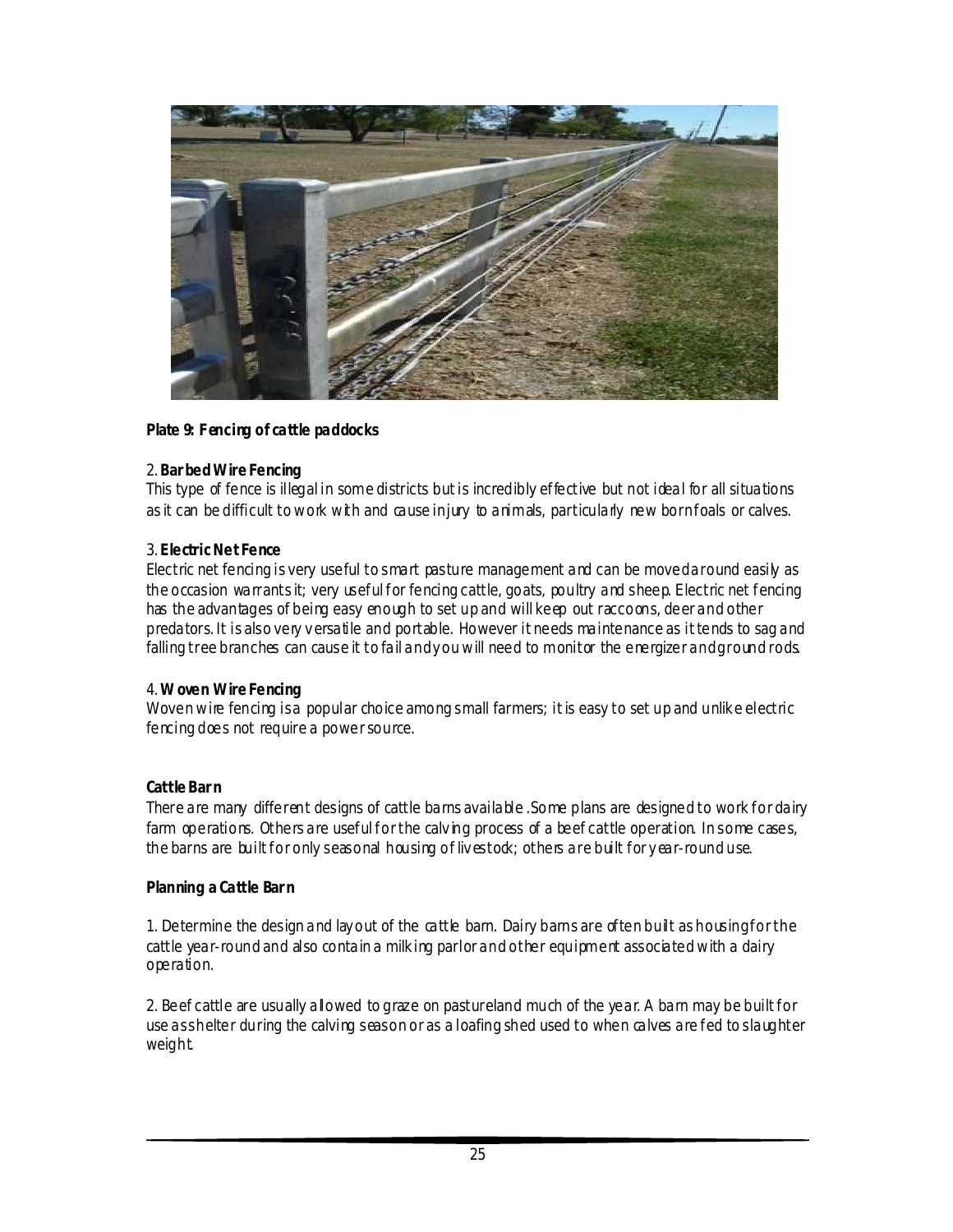

### **Plate 9: F encing of cattle paddocks**

#### 2. **Bar bed Wire Fencing**

This type of fence is illegal in some districts but is incredibly effective but not ideal for all situations as it can be difficult to work with and cause injury to animals, particularly new born foals or calves.

#### 3. **Electric Net Fence**

Electric net fencing is very useful to smart pasture management and can be moved around easily as the occasion warrants it; very useful for fencing cattle, goats, poultry and sheep. Electric net fencing has the advantages of being easy enough to set up and will keep out raccoons, deer and other predators. It is also very v ersatile and portable. However it needs maintenance as it tends to sag and falling tree branches can cause it to fail and y ou will need to monitor the energizer and ground rods.

#### 4. **W oven Wire Fencing**

Woven wire fencing is a popular choice among small farmers; it is easy to set up and unlik e electric fencing does not require a power source.

#### **Cattle Bar n**

There are many different designs of cattle barns available .Some plans are designed to work for dairy farm operations. Others are useful for the calving process of a beef cattle operation. In some cases, the barns are built for only seasonal housing of lives took; others are built for year-round use.

#### **Planning a Cattle Bar n**

1. Determine the design and lay out of the cattle barn. Dairy barns are often built as housing for the cattle year-round and also contain a milk ing parlor and other equipment associated with a dairy operation.

2. Beef cattle are usually allowed to graze on pastureland much of the year. A barn may be built for use as shelter during the calving season or as a loafing shed used to when calves are fed to slaughter weight.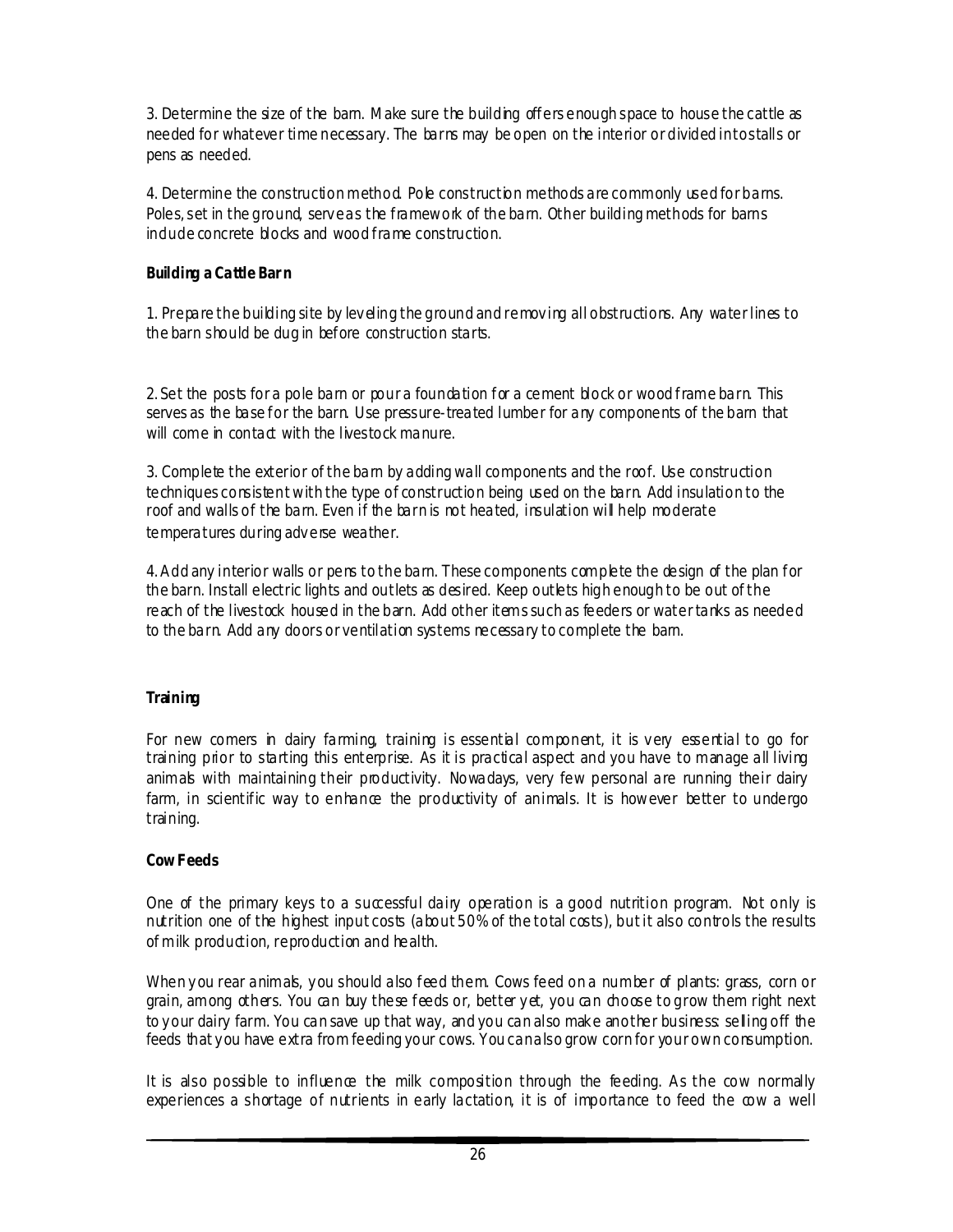3. Determine the size of the barn. Make sure the building offers enough space to house the cattle as needed for whatever time necessary. The barns may be open on the interior or divided into stalls or pens as needed.

4. Determine the construction method. Pole construction methods are commonly used for barns. Poles, set in the ground, serve as the framework of the barn. Other building methods for barns indude concrete blocks and wood frame construction.

### **Building a Cattle Bar n**

1. Prepare the building site by lev eling the ground and remov ing all obstructions. Any water lines to the barn should be dug in before construction starts.

2. Set the posts for a pole barn or pour a foundation for a cement block or wood frame barn. This serves as the base for the barn. Use pressure-treated lumber for any components of the barn that will come in contact with the livestock manure.

3. Complete the exterior of the barn by adding wall components and the roof. Use construction techniques consistent with the type of construction being used on the barn. Add insulation to the roof and walls of the barn. Even if the barn is not heated, insulation will help moderate temperatures during adverse weather.

4.Add any interior walls or pens to the barn. These components complete the design of the plan for the barn. Install electric lights and outlets as desired. Keep outlets high enough to be out of the reach of the livestock housed in the barn. Add other items such as feeders or water tanks as needed to the barn. Add any doors or ventilation systems necessary to complete the barn.

# **Training**

For new comers in dairy farming, training is essential component, it is very essential to go for training prior to starting this enterprise. As it is practical aspect and you have to manage all living animals with maintaining their productivity. Nowadays, very few personal are running their dairy farm, in scientific way to enhance the productivity of animals. It is however better to undergo training.

# **Cow F eeds**

One of the primary keys to a successful dairy operation is a good nutrition program. Not only is nutrition one of the highest input costs (about 50% of the total costs), but it also controls the results of milk production, reproduction and health.

When you rear animals, you should also feed them. Cows feed on a number of plants: grass, corn or grain, among others. You can buy these feeds or, better yet, you can choose to grow them right next to y our dairy farm. You can save up that way, and you can also mak e another business: selling off the feeds that you have extra from feeding your cows. You can also grow corn for your own consumption.

It is also possible to influence the milk composition through the feeding. As the cow normally experiences a shortage of nutrients in early lactation, it is of importance to feed the cow a well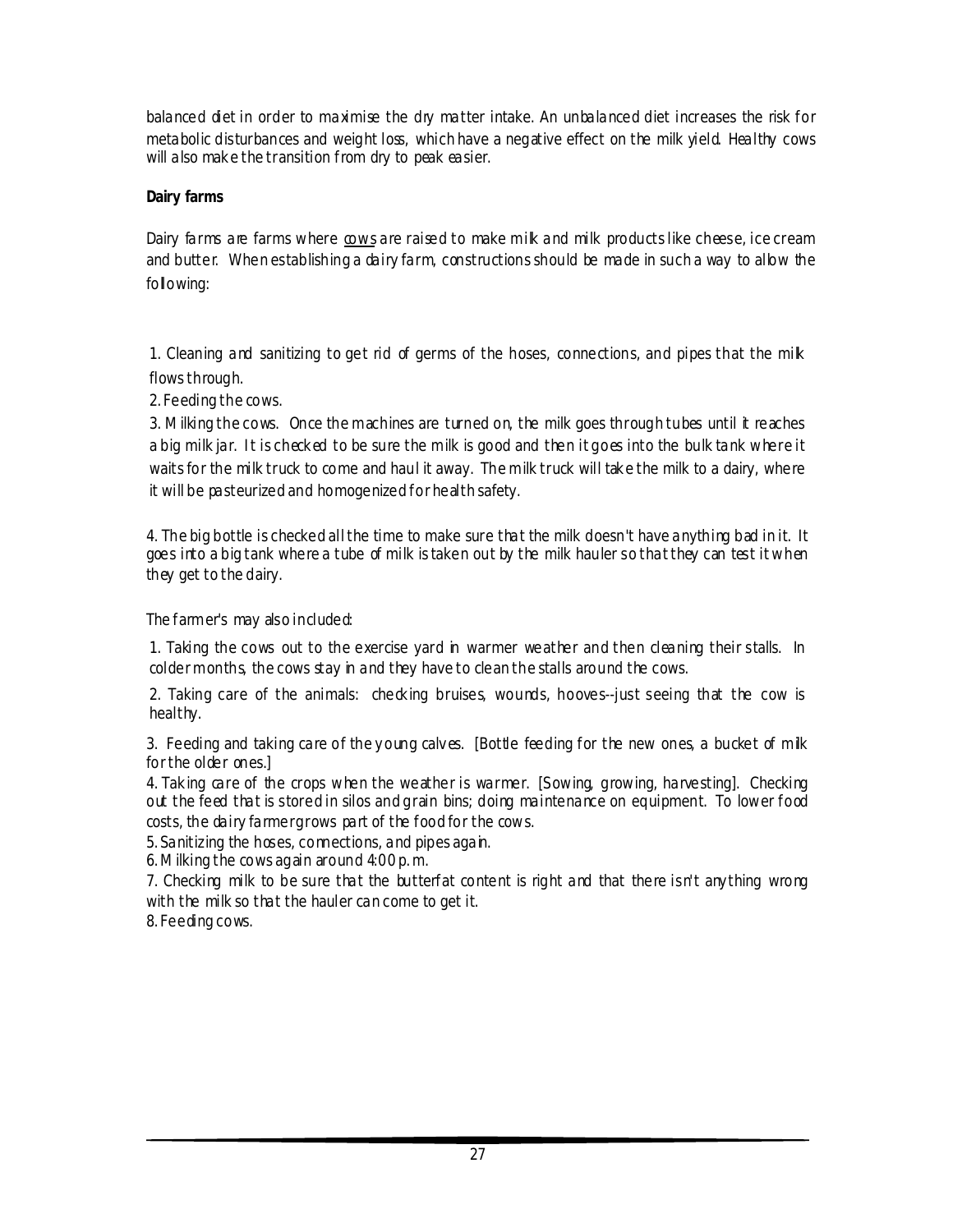balanced diet in order to maximise the dry matter intake. An unbalanced diet increases the risk for metabolic disturbances and weight loss, which have a negative effect on the milk yield. Healthy cows will also mak e the transition from dry to peak easier.

# **Dairy farms**

Dairy farms are farms where cows are raised to make milk and milk products like cheese, ice cream and butter. When establishing a dairy farm, constructions should be made in such a way to allow the following:

1. Cleaning and sanitizing to get rid of germs of the hoses, connections, and pipes that the mik flows through.

2. Feeding the cows.

3. Milking the cows. Once the machines are turned on, the milk goes through tubes until it reaches a big milk jar. I t is check ed to be sure the milk is good and then it goes into the bulk tank where it waits for the milk truck to come and haul it away. The milk truck will tak e the milk to a dairy, where it will be pasteurized and homogenized for health safety.

4*.* The big bottle is checked all the time to make sure that the milk doesn't have anything bad in it. It goes into a big tank where a tube of milk is taken out by the milk hauler so that they can test it when they get to the dairy.

The farmer's may also included:

1. Taking the cows out to the exercise yard in warmer weather and then cleaning their stalls. In colder months, the cows stay in and they have to clean the stalls around the cows.

2. Taking care of the animals: check ing bruises, wounds, hooves--just seeing that the cow is healthy.

3. Feeding and taking care of the young calves. [Bottle feeding for the new ones, a bucket of milk for the older ones.]

4. Tak ing care of the crops when the weather is warmer. [S owing, growing, harvesting]. Checking out the feed that is stored in silos and grain bins; doing maintenance on equipment. To lower food costs, the dairy farmer grows part of the food for the cows.

5. Sanitizing the hoses, connections, and pipes again.

6.Milking the cows again around 4:00 p. m.

7. Checking milk to be sure that the butterfat content is right and that there isn't any thing wrong with the milk so that the hauler can come to get it.

8. Feeding cows.